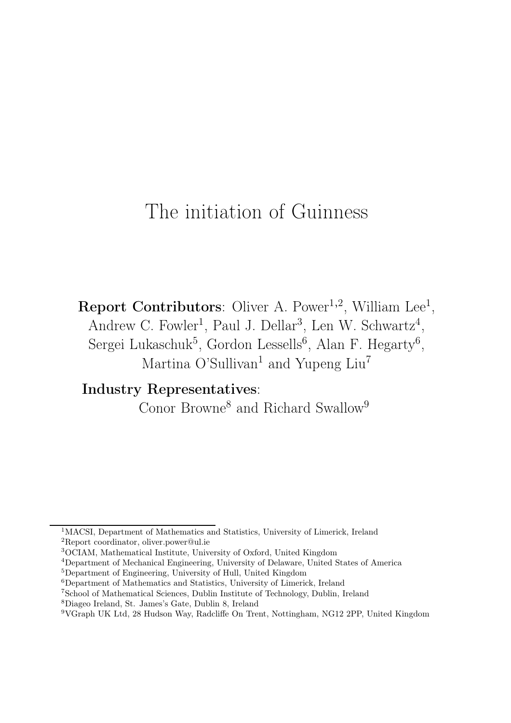# The initiation of Guinness

**Report Contributors**: Oliver A. Power<sup>1,2</sup>, William Lee<sup>1</sup>, Andrew C. Fowler<sup>1</sup>, Paul J. Dellar<sup>3</sup>, Len W. Schwartz<sup>4</sup>, Sergei Lukaschuk<sup>5</sup>, Gordon Lessells<sup>6</sup>, Alan F. Hegarty<sup>6</sup>, Martina O'Sullivan<sup>1</sup> and Yupeng Liu<sup>7</sup>

Industry Representatives:

Conor Browne<sup>8</sup> and Richard Swallow<sup>9</sup>

<sup>1</sup>MACSI, Department of Mathematics and Statistics, University of Limerick, Ireland <sup>2</sup>Report coordinator, oliver.power@ul.ie

<sup>3</sup>OCIAM, Mathematical Institute, University of Oxford, United Kingdom

<sup>4</sup>Department of Mechanical Engineering, University of Delaware, United States of America

<sup>5</sup>Department of Engineering, University of Hull, United Kingdom

<sup>6</sup>Department of Mathematics and Statistics, University of Limerick, Ireland

<sup>7</sup>School of Mathematical Sciences, Dublin Institute of Technology, Dublin, Ireland

<sup>8</sup>Diageo Ireland, St. James's Gate, Dublin 8, Ireland

<sup>9</sup>VGraph UK Ltd, 28 Hudson Way, Radcliffe On Trent, Nottingham, NG12 2PP, United Kingdom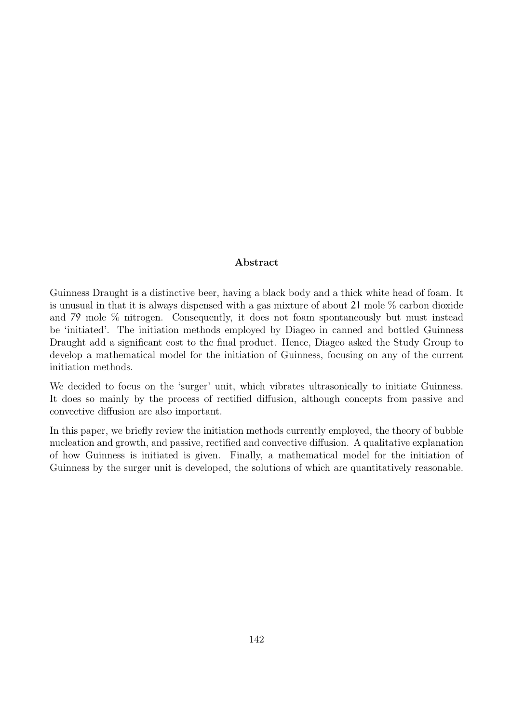#### Abstract

Guinness Draught is a distinctive beer, having a black body and a thick white head of foam. It is unusual in that it is always dispensed with a gas mixture of about 21 mole  $\%$  carbon dioxide and 79 mole % nitrogen. Consequently, it does not foam spontaneously but must instead be 'initiated'. The initiation methods employed by Diageo in canned and bottled Guinness Draught add a significant cost to the final product. Hence, Diageo asked the Study Group to develop a mathematical model for the initiation of Guinness, focusing on any of the current initiation methods.

We decided to focus on the 'surger' unit, which vibrates ultrasonically to initiate Guinness. It does so mainly by the process of rectified diffusion, although concepts from passive and convective diffusion are also important.

In this paper, we briefly review the initiation methods currently employed, the theory of bubble nucleation and growth, and passive, rectified and convective diffusion. A qualitative explanation of how Guinness is initiated is given. Finally, a mathematical model for the initiation of Guinness by the surger unit is developed, the solutions of which are quantitatively reasonable.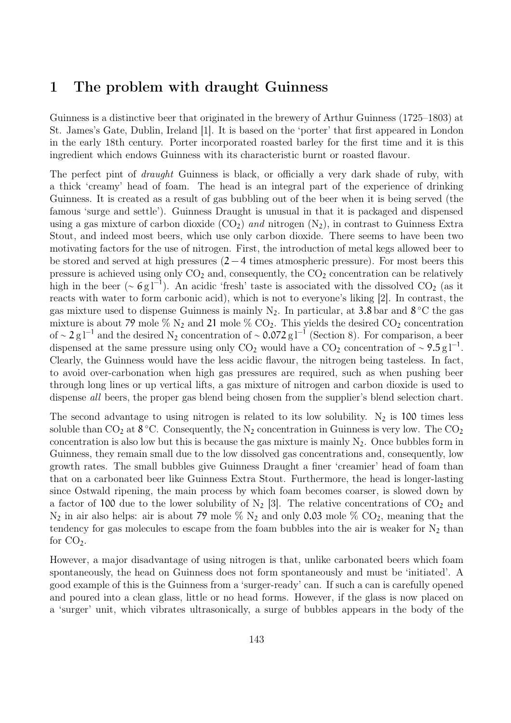## 1 The problem with draught Guinness

Guinness is a distinctive beer that originated in the brewery of Arthur Guinness (1725–1803) at St. James's Gate, Dublin, Ireland [1]. It is based on the 'porter' that first appeared in London in the early 18th century. Porter incorporated roasted barley for the first time and it is this ingredient which endows Guinness with its characteristic burnt or roasted flavour.

The perfect pint of *draught* Guinness is black, or officially a very dark shade of ruby, with a thick 'creamy' head of foam. The head is an integral part of the experience of drinking Guinness. It is created as a result of gas bubbling out of the beer when it is being served (the famous 'surge and settle'). Guinness Draught is unusual in that it is packaged and dispensed using a gas mixture of carbon dioxide  $(CO<sub>2</sub>)$  and nitrogen  $(N<sub>2</sub>)$ , in contrast to Guinness Extra Stout, and indeed most beers, which use only carbon dioxide. There seems to have been two motivating factors for the use of nitrogen. First, the introduction of metal kegs allowed beer to be stored and served at high pressures (2 − 4 times atmospheric pressure). For most beers this pressure is achieved using only  $CO<sub>2</sub>$  and, consequently, the  $CO<sub>2</sub>$  concentration can be relatively high in the beer (∼  $6 \text{ g} l^{-1}$ ). An acidic 'fresh' taste is associated with the dissolved CO<sub>2</sub> (as it reacts with water to form carbonic acid), which is not to everyone's liking [2]. In contrast, the gas mixture used to dispense Guinness is mainly  $N_2$ . In particular, at 3.8 bar and  $8^{\circ}$ C the gas mixture is about 79 mole  $\%$  N<sub>2</sub> and 21 mole  $\%$  CO<sub>2</sub>. This yields the desired CO<sub>2</sub> concentration of ~ 2 g l<sup>-1</sup> and the desired N<sub>2</sub> concentration of ~ 0.072 g l<sup>-1</sup> (Section 8). For comparison, a beer dispensed at the same pressure using only CO<sub>2</sub> would have a CO<sub>2</sub> concentration of ~ 9.5 g<sup>-1</sup>. Clearly, the Guinness would have the less acidic flavour, the nitrogen being tasteless. In fact, to avoid over-carbonation when high gas pressures are required, such as when pushing beer through long lines or up vertical lifts, a gas mixture of nitrogen and carbon dioxide is used to dispense *all* beers, the proper gas blend being chosen from the supplier's blend selection chart.

The second advantage to using nitrogen is related to its low solubility.  $N_2$  is 100 times less soluble than  $CO_2$  at  $8 °C$ . Consequently, the N<sub>2</sub> concentration in Guinness is very low. The  $CO_2$ concentration is also low but this is because the gas mixture is mainly  $N<sub>2</sub>$ . Once bubbles form in Guinness, they remain small due to the low dissolved gas concentrations and, consequently, low growth rates. The small bubbles give Guinness Draught a finer 'creamier' head of foam than that on a carbonated beer like Guinness Extra Stout. Furthermore, the head is longer-lasting since Ostwald ripening, the main process by which foam becomes coarser, is slowed down by a factor of 100 due to the lower solubility of  $N_2$  [3]. The relative concentrations of  $CO_2$  and  $N_2$  in air also helps: air is about 79 mole  $\%$  N<sub>2</sub> and only 0.03 mole  $\%$  CO<sub>2</sub>, meaning that the tendency for gas molecules to escape from the foam bubbles into the air is weaker for  $N_2$  than for  $CO<sub>2</sub>$ .

However, a major disadvantage of using nitrogen is that, unlike carbonated beers which foam spontaneously, the head on Guinness does not form spontaneously and must be 'initiated'. A good example of this is the Guinness from a 'surger-ready' can. If such a can is carefully opened and poured into a clean glass, little or no head forms. However, if the glass is now placed on a 'surger' unit, which vibrates ultrasonically, a surge of bubbles appears in the body of the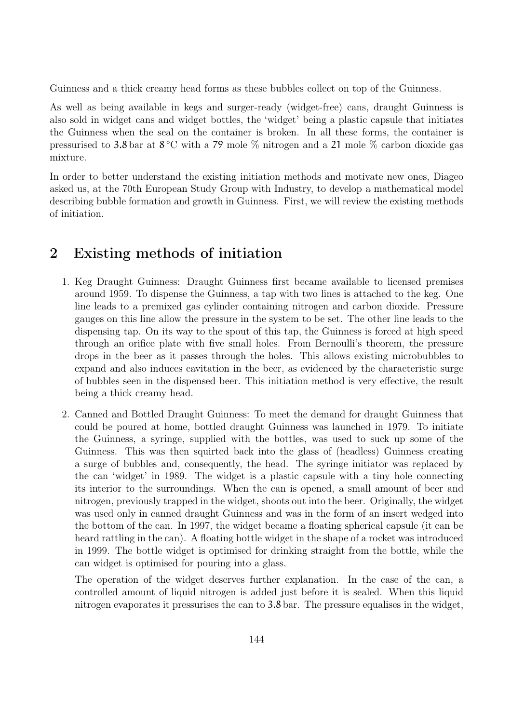Guinness and a thick creamy head forms as these bubbles collect on top of the Guinness.

As well as being available in kegs and surger-ready (widget-free) cans, draught Guinness is also sold in widget cans and widget bottles, the 'widget' being a plastic capsule that initiates the Guinness when the seal on the container is broken. In all these forms, the container is pressurised to 3.8 bar at 8 °C with a 79 mole % nitrogen and a 21 mole % carbon dioxide gas mixture.

In order to better understand the existing initiation methods and motivate new ones, Diageo asked us, at the 70th European Study Group with Industry, to develop a mathematical model describing bubble formation and growth in Guinness. First, we will review the existing methods of initiation.

### 2 Existing methods of initiation

- 1. Keg Draught Guinness: Draught Guinness first became available to licensed premises around 1959. To dispense the Guinness, a tap with two lines is attached to the keg. One line leads to a premixed gas cylinder containing nitrogen and carbon dioxide. Pressure gauges on this line allow the pressure in the system to be set. The other line leads to the dispensing tap. On its way to the spout of this tap, the Guinness is forced at high speed through an orifice plate with five small holes. From Bernoulli's theorem, the pressure drops in the beer as it passes through the holes. This allows existing microbubbles to expand and also induces cavitation in the beer, as evidenced by the characteristic surge of bubbles seen in the dispensed beer. This initiation method is very effective, the result being a thick creamy head.
- 2. Canned and Bottled Draught Guinness: To meet the demand for draught Guinness that could be poured at home, bottled draught Guinness was launched in 1979. To initiate the Guinness, a syringe, supplied with the bottles, was used to suck up some of the Guinness. This was then squirted back into the glass of (headless) Guinness creating a surge of bubbles and, consequently, the head. The syringe initiator was replaced by the can 'widget' in 1989. The widget is a plastic capsule with a tiny hole connecting its interior to the surroundings. When the can is opened, a small amount of beer and nitrogen, previously trapped in the widget, shoots out into the beer. Originally, the widget was used only in canned draught Guinness and was in the form of an insert wedged into the bottom of the can. In 1997, the widget became a floating spherical capsule (it can be heard rattling in the can). A floating bottle widget in the shape of a rocket was introduced in 1999. The bottle widget is optimised for drinking straight from the bottle, while the can widget is optimised for pouring into a glass.

The operation of the widget deserves further explanation. In the case of the can, a controlled amount of liquid nitrogen is added just before it is sealed. When this liquid nitrogen evaporates it pressurises the can to 3.8 bar. The pressure equalises in the widget,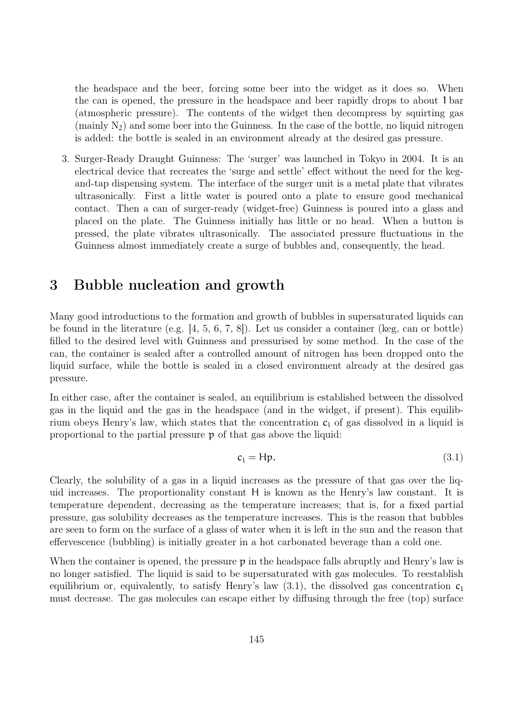the headspace and the beer, forcing some beer into the widget as it does so. When the can is opened, the pressure in the headspace and beer rapidly drops to about 1 bar (atmospheric pressure). The contents of the widget then decompress by squirting gas (mainly  $N_2$ ) and some beer into the Guinness. In the case of the bottle, no liquid nitrogen is added: the bottle is sealed in an environment already at the desired gas pressure.

3. Surger-Ready Draught Guinness: The 'surger' was launched in Tokyo in 2004. It is an electrical device that recreates the 'surge and settle' effect without the need for the kegand-tap dispensing system. The interface of the surger unit is a metal plate that vibrates ultrasonically. First a little water is poured onto a plate to ensure good mechanical contact. Then a can of surger-ready (widget-free) Guinness is poured into a glass and placed on the plate. The Guinness initially has little or no head. When a button is pressed, the plate vibrates ultrasonically. The associated pressure fluctuations in the Guinness almost immediately create a surge of bubbles and, consequently, the head.

### 3 Bubble nucleation and growth

Many good introductions to the formation and growth of bubbles in supersaturated liquids can be found in the literature (e.g. [4, 5, 6, 7, 8]). Let us consider a container (keg, can or bottle) filled to the desired level with Guinness and pressurised by some method. In the case of the can, the container is sealed after a controlled amount of nitrogen has been dropped onto the liquid surface, while the bottle is sealed in a closed environment already at the desired gas pressure.

In either case, after the container is sealed, an equilibrium is established between the dissolved gas in the liquid and the gas in the headspace (and in the widget, if present). This equilibrium obeys Henry's law, which states that the concentration  $c<sub>l</sub>$  of gas dissolved in a liquid is proportional to the partial pressure p of that gas above the liquid:

$$
c_1 = Hp. \t\t(3.1)
$$

Clearly, the solubility of a gas in a liquid increases as the pressure of that gas over the liquid increases. The proportionality constant H is known as the Henry's law constant. It is temperature dependent, decreasing as the temperature increases; that is, for a fixed partial pressure, gas solubility decreases as the temperature increases. This is the reason that bubbles are seen to form on the surface of a glass of water when it is left in the sun and the reason that effervescence (bubbling) is initially greater in a hot carbonated beverage than a cold one.

When the container is opened, the pressure  $p$  in the headspace falls abruptly and Henry's law is no longer satisfied. The liquid is said to be supersaturated with gas molecules. To reestablish equilibrium or, equivalently, to satisfy Henry's law  $(3.1)$ , the dissolved gas concentration  $c_1$ must decrease. The gas molecules can escape either by diffusing through the free (top) surface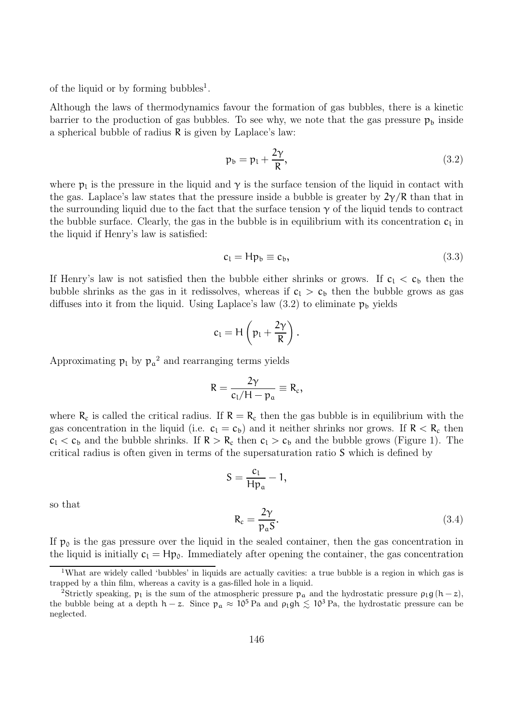of the liquid or by forming bubbles<sup>1</sup>.

Although the laws of thermodynamics favour the formation of gas bubbles, there is a kinetic barrier to the production of gas bubbles. To see why, we note that the gas pressure  $p_b$  inside a spherical bubble of radius R is given by Laplace's law:

$$
p_b = p_l + \frac{2\gamma}{R},\tag{3.2}
$$

where  $p_1$  is the pressure in the liquid and  $\gamma$  is the surface tension of the liquid in contact with the gas. Laplace's law states that the pressure inside a bubble is greater by  $2\gamma/R$  than that in the surrounding liquid due to the fact that the surface tension  $\gamma$  of the liquid tends to contract the bubble surface. Clearly, the gas in the bubble is in equilibrium with its concentration  $c_1$  in the liquid if Henry's law is satisfied:

$$
c_1 = H p_b \equiv c_b, \tag{3.3}
$$

If Henry's law is not satisfied then the bubble either shrinks or grows. If  $c_1 < c_b$  then the bubble shrinks as the gas in it redissolves, whereas if  $c_1 > c_b$  then the bubble grows as gas diffuses into it from the liquid. Using Laplace's law  $(3.2)$  to eliminate  $p_b$  yields

$$
c_l = H\left(p_l + \frac{2\gamma}{R}\right).
$$

Approximating  $p_l$  by  $p_a^2$  and rearranging terms yields

$$
R=\frac{2\gamma}{c_1/H-p_a}\equiv R_c,
$$

where  $R_c$  is called the critical radius. If  $R = R_c$  then the gas bubble is in equilibrium with the gas concentration in the liquid (i.e.  $c_1 = c_b$ ) and it neither shrinks nor grows. If  $R < R_c$  then  $c_1 < c_b$  and the bubble shrinks. If  $R > R_c$  then  $c_1 > c_b$  and the bubble grows (Figure 1). The critical radius is often given in terms of the supersaturation ratio S which is defined by

$$
S = \frac{c_1}{Hp_a} - 1,
$$
  

$$
R_c = \frac{2\gamma}{p_a S}.
$$
 (3.4)

so that

If  $p_0$  is the gas pressure over the liquid in the sealed container, then the gas concentration in the liquid is initially  $c_1 = Hp_0$ . Immediately after opening the container, the gas concentration

<sup>1</sup>What are widely called 'bubbles' in liquids are actually cavities: a true bubble is a region in which gas is trapped by a thin film, whereas a cavity is a gas-filled hole in a liquid.

<sup>&</sup>lt;sup>2</sup>Strictly speaking,  $p_l$  is the sum of the atmospheric pressure  $p_a$  and the hydrostatic pressure  $p_l g (h - z)$ , the bubble being at a depth h – z. Since  $p_a \approx 10^5$  Pa and  $\rho_1 gh \lesssim 10^3$  Pa, the hydrostatic pressure can be neglected.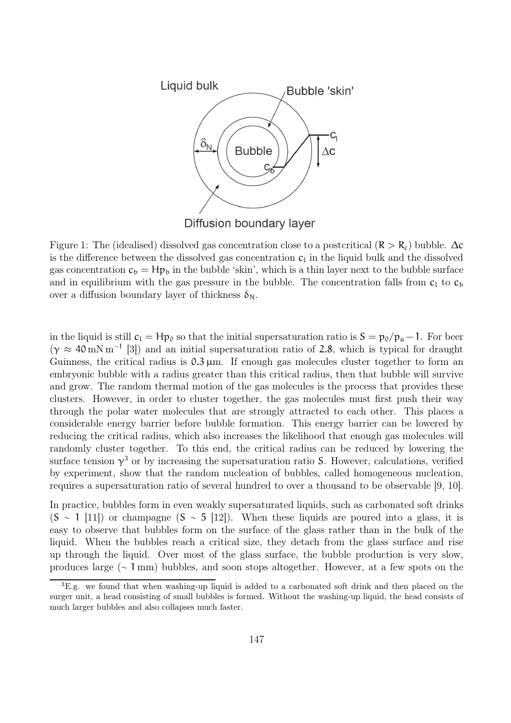

Figure 1: The (idealised) dissolved gas concentration close to a postcritical ( $R > R_c$ ) bubble.  $\Delta c$ is the difference between the dissolved gas concentration  $c_l$  in the liquid bulk and the dissolved gas concentration  $c_b = Hp_b$  in the bubble 'skin', which is a thin layer next to the bubble surface and in equilibrium with the gas pressure in the bubble. The concentration falls from  $c_1$  to  $c_b$ over a diffusion boundary layer of thickness  $\delta_N$ .

in the liquid is still  $c_1 = Hp_0$  so that the initial supersaturation ratio is  $S = p_0/p_a - 1$ . For beer  $(\gamma \approx 40 \,\mathrm{mN \, m^{-1}})$  [3]) and an initial supersaturation ratio of 2.8, which is typical for draught Guinness, the critical radius is  $0.3 \mu$ m. If enough gas molecules cluster together to form an embryonic bubble with a radius greater than this critical radius, then that bubble will survive and grow. The random thermal motion of the gas molecules is the process that provides these clusters. However, in order to cluster together, the gas molecules must first push their way through the polar water molecules that are strongly attracted to each other. This places a considerable energy barrier before bubble formation. This energy barrier can be lowered by reducing the critical radius, which also increases the likelihood that enough gas molecules will randomly cluster together. To this end, the critical radius can be reduced by lowering the surface tension  $\gamma^3$  or by increasing the supersaturation ratio S. However, calculations, verified by experiment, show that the random nucleation of bubbles, called homogeneous nucleation, requires a supersaturation ratio of several hundred to over a thousand to be observable [9, 10].

In practice, bubbles form in even weakly supersaturated liquids, such as carbonated soft drinks  $(S \sim 1 \vert 11)$  or champagne  $(S \sim 5 \vert 12)$ . When these liquids are poured into a glass, it is easy to observe that bubbles form on the surface of the glass rather than in the bulk of the liquid. When the bubbles reach a critical size, they detach from the glass surface and rise up through the liquid. Over most of the glass surface, the bubble production is very slow, produces large (∼ 1 mm) bubbles, and soon stops altogether. However, at a few spots on the

 ${}^{3}E.g.$  we found that when washing-up liquid is added to a carbonated soft drink and then placed on the surger unit, a head consisting of small bubbles is formed. Without the washing-up liquid, the head consists of much larger bubbles and also collapses much faster.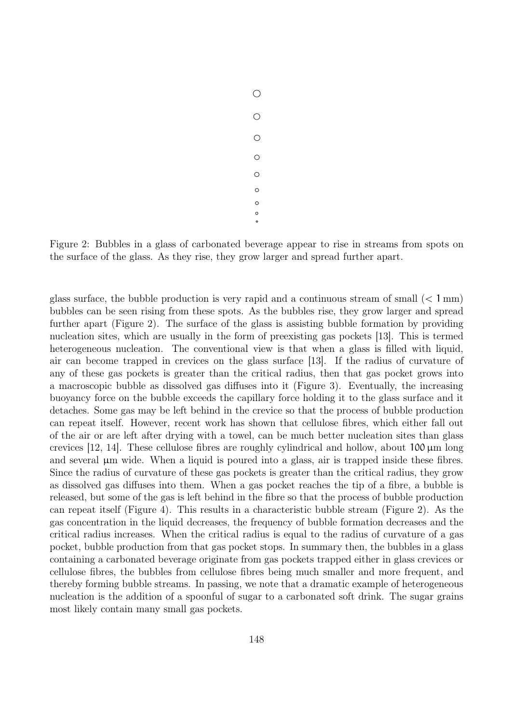$\bigcirc$  $\bigcirc$  $\circ$  $\circ$  $\circ$  $\circ$  $\circ$  $\circ$  $\circ$ 

Figure 2: Bubbles in a glass of carbonated beverage appear to rise in streams from spots on the surface of the glass. As they rise, they grow larger and spread further apart.

glass surface, the bubble production is very rapid and a continuous stream of small  $\langle$  1 mm) bubbles can be seen rising from these spots. As the bubbles rise, they grow larger and spread further apart (Figure 2). The surface of the glass is assisting bubble formation by providing nucleation sites, which are usually in the form of preexisting gas pockets [13]. This is termed heterogeneous nucleation. The conventional view is that when a glass is filled with liquid, air can become trapped in crevices on the glass surface [13]. If the radius of curvature of any of these gas pockets is greater than the critical radius, then that gas pocket grows into a macroscopic bubble as dissolved gas diffuses into it (Figure 3). Eventually, the increasing buoyancy force on the bubble exceeds the capillary force holding it to the glass surface and it detaches. Some gas may be left behind in the crevice so that the process of bubble production can repeat itself. However, recent work has shown that cellulose fibres, which either fall out of the air or are left after drying with a towel, can be much better nucleation sites than glass crevices [12, 14]. These cellulose fibres are roughly cylindrical and hollow, about  $100 \mu m$  long and several  $\mu$ m wide. When a liquid is poured into a glass, air is trapped inside these fibres. Since the radius of curvature of these gas pockets is greater than the critical radius, they grow as dissolved gas diffuses into them. When a gas pocket reaches the tip of a fibre, a bubble is released, but some of the gas is left behind in the fibre so that the process of bubble production can repeat itself (Figure 4). This results in a characteristic bubble stream (Figure 2). As the gas concentration in the liquid decreases, the frequency of bubble formation decreases and the critical radius increases. When the critical radius is equal to the radius of curvature of a gas pocket, bubble production from that gas pocket stops. In summary then, the bubbles in a glass containing a carbonated beverage originate from gas pockets trapped either in glass crevices or cellulose fibres, the bubbles from cellulose fibres being much smaller and more frequent, and thereby forming bubble streams. In passing, we note that a dramatic example of heterogeneous nucleation is the addition of a spoonful of sugar to a carbonated soft drink. The sugar grains most likely contain many small gas pockets.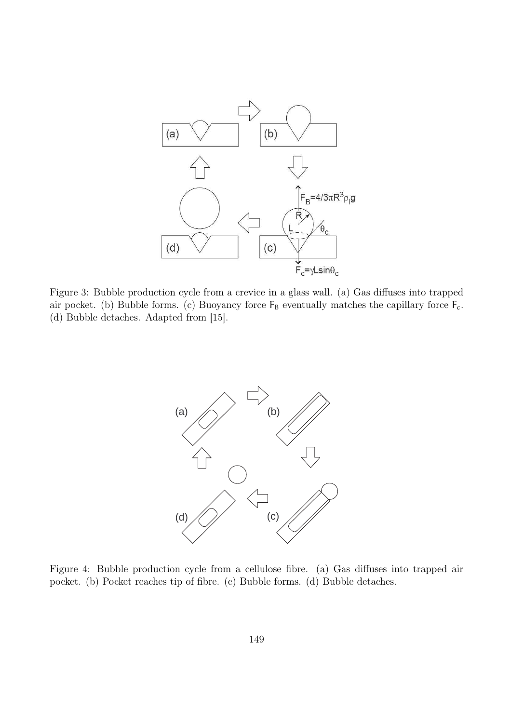

Figure 3: Bubble production cycle from a crevice in a glass wall. (a) Gas diffuses into trapped air pocket. (b) Bubble forms. (c) Buoyancy force  $F_B$  eventually matches the capillary force  $F_c$ . (d) Bubble detaches. Adapted from [15].



Figure 4: Bubble production cycle from a cellulose fibre. (a) Gas diffuses into trapped air pocket. (b) Pocket reaches tip of fibre. (c) Bubble forms. (d) Bubble detaches.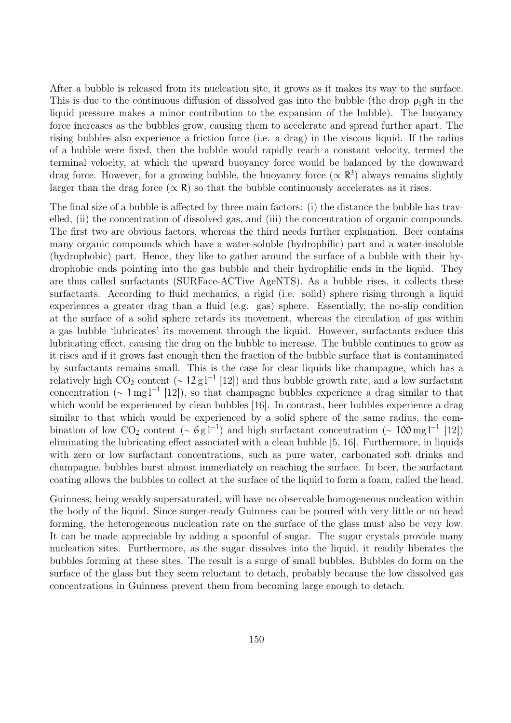After a bubble is released from its nucleation site, it grows as it makes its way to the surface. This is due to the continuous diffusion of dissolved gas into the bubble (the drop  $\rho_1$ gh in the liquid pressure makes a minor contribution to the expansion of the bubble). The buoyancy force increases as the bubbles grow, causing them to accelerate and spread further apart. The rising bubbles also experience a friction force (i.e. a drag) in the viscous liquid. If the radius of a bubble were fixed, then the bubble would rapidly reach a constant velocity, termed the terminal velocity, at which the upward buoyancy force would be balanced by the downward drag force. However, for a growing bubble, the buoyancy force  $(\propto R^3)$  always remains slightly larger than the drag force  $(\propto \mathbf{R})$  so that the bubble continuously accelerates as it rises.

The final size of a bubble is affected by three main factors: (i) the distance the bubble has travelled, (ii) the concentration of dissolved gas, and (iii) the concentration of organic compounds. The first two are obvious factors, whereas the third needs further explanation. Beer contains many organic compounds which have a water-soluble (hydrophilic) part and a water-insoluble (hydrophobic) part. Hence, they like to gather around the surface of a bubble with their hydrophobic ends pointing into the gas bubble and their hydrophilic ends in the liquid. They are thus called surfactants (SURFace-ACTive AgeNTS). As a bubble rises, it collects these surfactants. According to fluid mechanics, a rigid (i.e. solid) sphere rising through a liquid experiences a greater drag than a fluid (e.g. gas) sphere. Essentially, the no-slip condition at the surface of a solid sphere retards its movement, whereas the circulation of gas within a gas bubble 'lubricates' its movement through the liquid. However, surfactants reduce this lubricating effect, causing the drag on the bubble to increase. The bubble continues to grow as it rises and if it grows fast enough then the fraction of the bubble surface that is contaminated by surfactants remains small. This is the case for clear liquids like champagne, which has a relatively high  $CO_2$  content (~  $12 \text{ g l}^{-1}$  [12]) and thus bubble growth rate, and a low surfactant concentration ( $\sim 1 \text{ mg}^{-1}$  [12]), so that champagne bubbles experience a drag similar to that which would be experienced by clean bubbles [16]. In contrast, beer bubbles experience a drag similar to that which would be experienced by a solid sphere of the same radius, the combination of low CO<sub>2</sub> content (~ 6g<sup>1-1</sup>) and high surfactant concentration (~ 100 mg<sup>1-1</sup> [12]) eliminating the lubricating effect associated with a clean bubble [5, 16]. Furthermore, in liquids with zero or low surfactant concentrations, such as pure water, carbonated soft drinks and champagne, bubbles burst almost immediately on reaching the surface. In beer, the surfactant coating allows the bubbles to collect at the surface of the liquid to form a foam, called the head.

Guinness, being weakly supersaturated, will have no observable homogeneous nucleation within the body of the liquid. Since surger-ready Guinness can be poured with very little or no head forming, the heterogeneous nucleation rate on the surface of the glass must also be very low. It can be made appreciable by adding a spoonful of sugar. The sugar crystals provide many nucleation sites. Furthermore, as the sugar dissolves into the liquid, it readily liberates the bubbles forming at these sites. The result is a surge of small bubbles. Bubbles do form on the surface of the glass but they seem reluctant to detach, probably because the low dissolved gas concentrations in Guinness prevent them from becoming large enough to detach.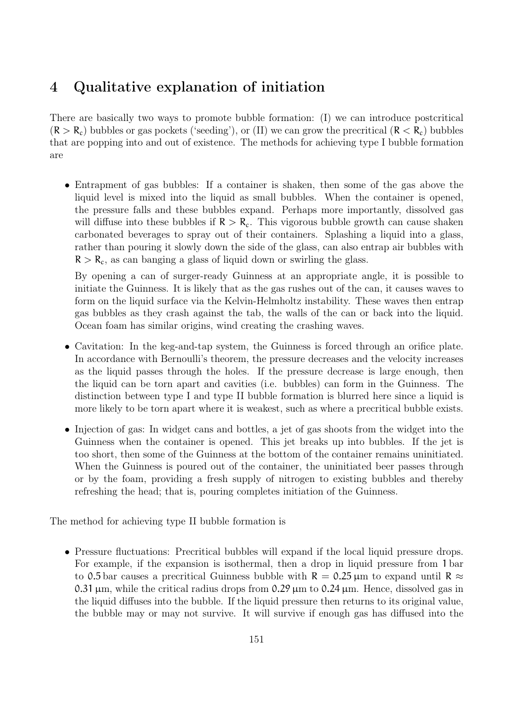### 4 Qualitative explanation of initiation

There are basically two ways to promote bubble formation: (I) we can introduce postcritical  $(R > R_c)$  bubbles or gas pockets ('seeding'), or (II) we can grow the precritical  $(R < R_c)$  bubbles that are popping into and out of existence. The methods for achieving type I bubble formation are

• Entrapment of gas bubbles: If a container is shaken, then some of the gas above the liquid level is mixed into the liquid as small bubbles. When the container is opened, the pressure falls and these bubbles expand. Perhaps more importantly, dissolved gas will diffuse into these bubbles if  $R > R_c$ . This vigorous bubble growth can cause shaken carbonated beverages to spray out of their containers. Splashing a liquid into a glass, rather than pouring it slowly down the side of the glass, can also entrap air bubbles with  $R > R<sub>c</sub>$ , as can banging a glass of liquid down or swirling the glass.

By opening a can of surger-ready Guinness at an appropriate angle, it is possible to initiate the Guinness. It is likely that as the gas rushes out of the can, it causes waves to form on the liquid surface via the Kelvin-Helmholtz instability. These waves then entrap gas bubbles as they crash against the tab, the walls of the can or back into the liquid. Ocean foam has similar origins, wind creating the crashing waves.

- Cavitation: In the keg-and-tap system, the Guinness is forced through an orifice plate. In accordance with Bernoulli's theorem, the pressure decreases and the velocity increases as the liquid passes through the holes. If the pressure decrease is large enough, then the liquid can be torn apart and cavities (i.e. bubbles) can form in the Guinness. The distinction between type I and type II bubble formation is blurred here since a liquid is more likely to be torn apart where it is weakest, such as where a precritical bubble exists.
- Injection of gas: In widget cans and bottles, a jet of gas shoots from the widget into the Guinness when the container is opened. This jet breaks up into bubbles. If the jet is too short, then some of the Guinness at the bottom of the container remains uninitiated. When the Guinness is poured out of the container, the uninitiated beer passes through or by the foam, providing a fresh supply of nitrogen to existing bubbles and thereby refreshing the head; that is, pouring completes initiation of the Guinness.

The method for achieving type II bubble formation is

• Pressure fluctuations: Precritical bubbles will expand if the local liquid pressure drops. For example, if the expansion is isothermal, then a drop in liquid pressure from 1 bar to 0.5 bar causes a precritical Guinness bubble with  $R = 0.25 \mu m$  to expand until  $R \approx$ 0.31  $\mu$ m, while the critical radius drops from 0.29  $\mu$ m to 0.24  $\mu$ m. Hence, dissolved gas in the liquid diffuses into the bubble. If the liquid pressure then returns to its original value, the bubble may or may not survive. It will survive if enough gas has diffused into the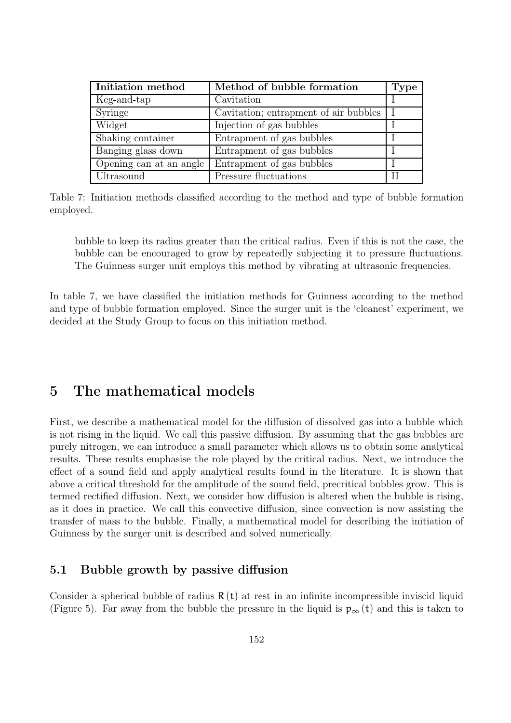| Initiation method       | Method of bubble formation            | <b>Type</b> |
|-------------------------|---------------------------------------|-------------|
| Keg-and-tap             | Cavitation                            |             |
| <b>Syringe</b>          | Cavitation; entrapment of air bubbles |             |
| Widget                  | Injection of gas bubbles              |             |
| Shaking container       | Entrapment of gas bubbles             |             |
| Banging glass down      | Entrapment of gas bubbles             |             |
| Opening can at an angle | Entrapment of gas bubbles             |             |
| Ultrasound              | Pressure fluctuations                 |             |

Table 7: Initiation methods classified according to the method and type of bubble formation employed.

bubble to keep its radius greater than the critical radius. Even if this is not the case, the bubble can be encouraged to grow by repeatedly subjecting it to pressure fluctuations. The Guinness surger unit employs this method by vibrating at ultrasonic frequencies.

In table 7, we have classified the initiation methods for Guinness according to the method and type of bubble formation employed. Since the surger unit is the 'cleanest' experiment, we decided at the Study Group to focus on this initiation method.

### 5 The mathematical models

First, we describe a mathematical model for the diffusion of dissolved gas into a bubble which is not rising in the liquid. We call this passive diffusion. By assuming that the gas bubbles are purely nitrogen, we can introduce a small parameter which allows us to obtain some analytical results. These results emphasise the role played by the critical radius. Next, we introduce the effect of a sound field and apply analytical results found in the literature. It is shown that above a critical threshold for the amplitude of the sound field, precritical bubbles grow. This is termed rectified diffusion. Next, we consider how diffusion is altered when the bubble is rising, as it does in practice. We call this convective diffusion, since convection is now assisting the transfer of mass to the bubble. Finally, a mathematical model for describing the initiation of Guinness by the surger unit is described and solved numerically.

#### 5.1 Bubble growth by passive diffusion

Consider a spherical bubble of radius  $R(t)$  at rest in an infinite incompressible inviscid liquid (Figure 5). Far away from the bubble the pressure in the liquid is  $p_{\infty}(t)$  and this is taken to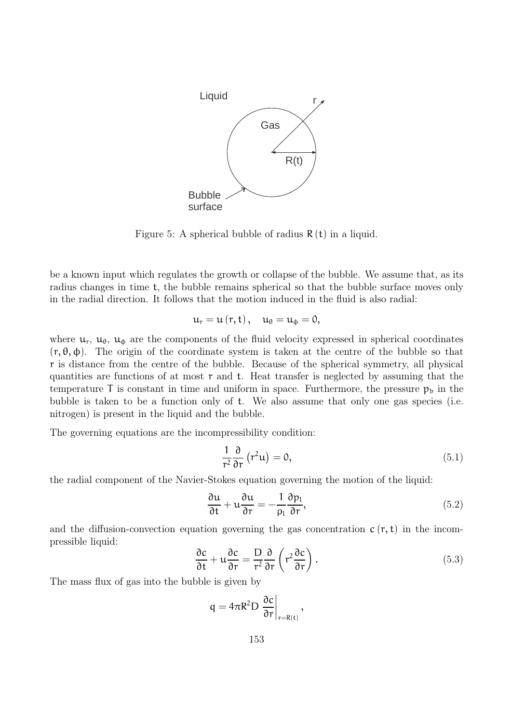

Figure 5: A spherical bubble of radius  $R(t)$  in a liquid.

be a known input which regulates the growth or collapse of the bubble. We assume that, as its radius changes in time t, the bubble remains spherical so that the bubble surface moves only in the radial direction. It follows that the motion induced in the fluid is also radial:

$$
u_{r}=u(r,t),\quad u_{\theta}=u_{\varphi}=0,
$$

where  $u_r$ ,  $u_{\theta}$ ,  $u_{\phi}$  are the components of the fluid velocity expressed in spherical coordinates  $(r, \theta, \phi)$ . The origin of the coordinate system is taken at the centre of the bubble so that r is distance from the centre of the bubble. Because of the spherical symmetry, all physical quantities are functions of at most  $\tau$  and  $t$ . Heat transfer is neglected by assuming that the temperature  $\bar{\Gamma}$  is constant in time and uniform in space. Furthermore, the pressure  $p_b$  in the bubble is taken to be a function only of t. We also assume that only one gas species (i.e. nitrogen) is present in the liquid and the bubble.

The governing equations are the incompressibility condition:

$$
\frac{1}{r^2} \frac{\partial}{\partial r} (r^2 u) = 0, \qquad (5.1)
$$

the radial component of the Navier-Stokes equation governing the motion of the liquid:

$$
\frac{\partial u}{\partial t} + u \frac{\partial u}{\partial r} = -\frac{1}{\rho_l} \frac{\partial p_l}{\partial r},\tag{5.2}
$$

and the diffusion-convection equation governing the gas concentration  $c(r, t)$  in the incompressible liquid:

$$
\frac{\partial c}{\partial t} + u \frac{\partial c}{\partial r} = \frac{D}{r^2} \frac{\partial}{\partial r} \left( r^2 \frac{\partial c}{\partial r} \right).
$$
 (5.3)

The mass flux of gas into the bubble is given by

$$
q = 4\pi R^2 D \left. \frac{\partial c}{\partial r} \right|_{r=R(t)},
$$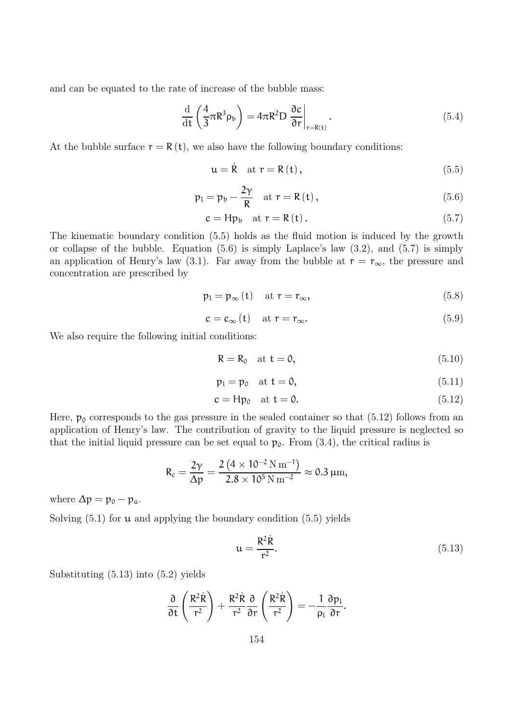and can be equated to the rate of increase of the bubble mass:

$$
\frac{\mathrm{d}}{\mathrm{d}t} \left( \frac{4}{3} \pi R^3 \rho_b \right) = 4 \pi R^2 D \left. \frac{\partial c}{\partial r} \right|_{r=R(t)}.
$$
\n(5.4)

At the bubble surface  $r = R(t)$ , we also have the following boundary conditions:

$$
\mathbf{u} = \dot{\mathbf{R}} \quad \text{at } \mathbf{r} = \mathbf{R} \left( \mathbf{t} \right), \tag{5.5}
$$

$$
p_{l} = p_{b} - \frac{2\gamma}{R} \quad \text{at } r = R(t), \qquad (5.6)
$$

$$
c = Hp_b \quad \text{at } r = R(t). \tag{5.7}
$$

The kinematic boundary condition (5.5) holds as the fluid motion is induced by the growth or collapse of the bubble. Equation  $(5.6)$  is simply Laplace's law  $(3.2)$ , and  $(5.7)$  is simply an application of Henry's law (3.1). Far away from the bubble at  $r = r_{\infty}$ , the pressure and concentration are prescribed by

$$
p_1 = p_\infty(t) \quad \text{at } r = r_\infty,
$$
\n(5.8)

$$
c = c_{\infty}(t) \quad \text{at } r = r_{\infty}.\tag{5.9}
$$

We also require the following initial conditions:

$$
R = R_0 \quad \text{at } t = 0,
$$
\n
$$
(5.10)
$$

$$
p_l = p_0 \quad \text{at } t = 0,
$$
\n
$$
(5.11)
$$

$$
c = Hp_0 \quad \text{at } t = 0. \tag{5.12}
$$

Here,  $p_0$  corresponds to the gas pressure in the sealed container so that (5.12) follows from an application of Henry's law. The contribution of gravity to the liquid pressure is neglected so that the initial liquid pressure can be set equal to  $p_0$ . From (3.4), the critical radius is

$$
R_c = \frac{2\gamma}{\Delta p} = \frac{2\left(4 \times 10^{-2} \,\mathrm{N}\,\mathrm{m}^{-1}\right)}{2.8 \times 10^5 \,\mathrm{N}\,\mathrm{m}^{-2}} \approx 0.3 \,\mu\mathrm{m},
$$

where  $\Delta p = p_0 - p_a$ .

Solving  $(5.1)$  for  $\mu$  and applying the boundary condition  $(5.5)$  yields

$$
\mathfrak{u} = \frac{\mathsf{R}^2 \dot{\mathsf{R}}}{\mathsf{r}^2}.\tag{5.13}
$$

Substituting (5.13) into (5.2) yields

$$
\frac{\partial}{\partial t}\left(\frac{R^2\dot{R}}{r^2}\right)+\frac{R^2\dot{R}}{r^2}\frac{\partial}{\partial r}\left(\frac{R^2\dot{R}}{r^2}\right)=-\frac{1}{\rho_l}\frac{\partial p_l}{\partial r}.
$$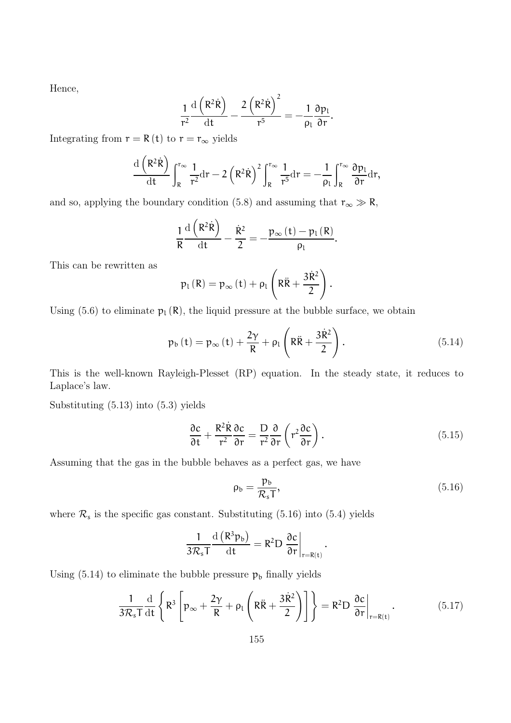Hence,

$$
\frac{1}{r^2}\frac{\mathrm{d}\left(R^2\dot{R}\right)}{\mathrm{d}t}-\frac{2\left(R^2\dot{R}\right)^2}{r^5}=-\frac{1}{\rho_l}\frac{\partial p_l}{\partial r}.
$$

Integrating from  $r = R(t)$  to  $r = r_{\infty}$  yields

$$
\frac{\mathrm{d}\left(R^2\dot{R}\right)}{\mathrm{d}t}\int_{R}^{r_{\infty}}\frac{1}{r^2}\mathrm{d}r-2\left(R^2\dot{R}\right)^2\int_{R}^{r_{\infty}}\frac{1}{r^5}\mathrm{d}r=-\frac{1}{\rho_{L}}\int_{R}^{r_{\infty}}\frac{\partial p_{L}}{\partial r}\mathrm{d}r,
$$

and so, applying the boundary condition (5.8) and assuming that  $r_{\infty} \gg R$ ,

$$
\frac{1}{R}\frac{\mathrm{d}\left(R^{2}\dot{R}\right)}{\mathrm{d}t}-\frac{\dot{R}^{2}}{2}=-\frac{p_{\infty}\left(t\right)-p_{1}\left(R\right)}{\rho_{1}}.
$$

This can be rewritten as

$$
p_{l}\left(R\right)=p_{\infty}\left(t\right)+\rho_{l}\left(R\ddot{R}+\frac{3\dot{R}^{2}}{2}\right).
$$

Using (5.6) to eliminate  $p_l(R)$ , the liquid pressure at the bubble surface, we obtain

$$
p_b(t) = p_{\infty}(t) + \frac{2\gamma}{R} + \rho_l \left( R\ddot{R} + \frac{3\dot{R}^2}{2} \right). \tag{5.14}
$$

This is the well-known Rayleigh-Plesset (RP) equation. In the steady state, it reduces to Laplace's law.

Substituting (5.13) into (5.3) yields

$$
\frac{\partial c}{\partial t} + \frac{R^2 \dot{R}}{r^2} \frac{\partial c}{\partial r} = \frac{D}{r^2} \frac{\partial}{\partial r} \left( r^2 \frac{\partial c}{\partial r} \right).
$$
 (5.15)

.

Assuming that the gas in the bubble behaves as a perfect gas, we have

$$
\rho_b = \frac{p_b}{\mathcal{R}_s T},\tag{5.16}
$$

where  $\mathcal{R}_s$  is the specific gas constant. Substituting (5.16) into (5.4) yields

$$
\frac{1}{3\mathcal{R}_sT}\frac{\mathrm{d}\left(R^3p_b\right)}{\mathrm{d}t}=R^2D\left.\frac{\partial c}{\partial r}\right|_{r=R(t)}
$$

Using (5.14) to eliminate the bubble pressure  $\mathfrak{p}_\mathfrak{b}$  finally yields

$$
\frac{1}{3\mathcal{R}_s T} \frac{\mathrm{d}}{\mathrm{d}t} \left\{ R^3 \left[ p_\infty + \frac{2\gamma}{R} + \rho_l \left( R\ddot{R} + \frac{3\dot{R}^2}{2} \right) \right] \right\} = R^2 D \left. \frac{\partial c}{\partial r} \right|_{r=R(t)}.
$$
 (5.17)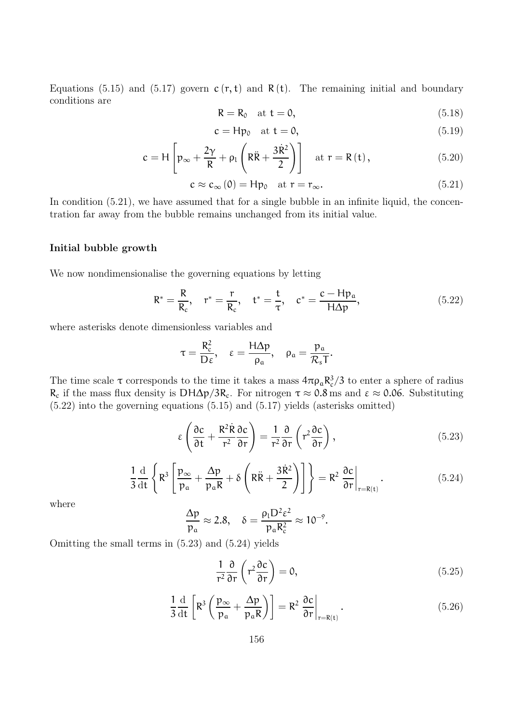Equations (5.15) and (5.17) govern  $c (r, t)$  and  $R (t)$ . The remaining initial and boundary conditions are

$$
R = R_0 \quad \text{at } t = 0,
$$
\n
$$
(5.18)
$$

$$
c = Hp_0 \quad \text{at } t = 0,
$$
\n
$$
(5.19)
$$

$$
c = H \left[ p_{\infty} + \frac{2\gamma}{R} + \rho_l \left( R\ddot{R} + \frac{3\dot{R}^2}{2} \right) \right] \quad \text{at } r = R(t), \tag{5.20}
$$

$$
c \approx c_{\infty}(0) = Hp_0 \quad \text{at } r = r_{\infty}.
$$
 (5.21)

In condition  $(5.21)$ , we have assumed that for a single bubble in an infinite liquid, the concentration far away from the bubble remains unchanged from its initial value.

#### Initial bubble growth

We now nondimensionalise the governing equations by letting

$$
R^* = \frac{R}{R_c}
$$
,  $r^* = \frac{r}{R_c}$ ,  $t^* = \frac{t}{\tau}$ ,  $c^* = \frac{c - Hp_a}{H\Delta p}$ , (5.22)

where asterisks denote dimensionless variables and

$$
\tau = \frac{R_c^2}{D\epsilon}, \quad \epsilon = \frac{H\Delta p}{\rho_a}, \quad \rho_a = \frac{p_a}{\mathcal{R}_sT}.
$$

The time scale  $\tau$  corresponds to the time it takes a mass  $4\pi\rho_a R_c^3/3$  to enter a sphere of radius  $R_c$  if the mass flux density is DH $\Delta p/3R_c$ . For nitrogen  $\tau \approx 0.8$  ms and  $\varepsilon \approx 0.06$ . Substituting (5.22) into the governing equations (5.15) and (5.17) yields (asterisks omitted)

$$
\varepsilon \left( \frac{\partial c}{\partial t} + \frac{R^2 \dot{R}}{r^2} \frac{\partial c}{\partial r} \right) = \frac{1}{r^2} \frac{\partial}{\partial r} \left( r^2 \frac{\partial c}{\partial r} \right),\tag{5.23}
$$

$$
\frac{1}{3} \frac{\mathrm{d}}{\mathrm{d}t} \left\{ R^3 \left[ \frac{p_{\infty}}{p_{\alpha}} + \frac{\Delta p}{p_{\alpha} R} + \delta \left( R \ddot{R} + \frac{3 \dot{R}^2}{2} \right) \right] \right\} = R^2 \left. \frac{\partial c}{\partial r} \right|_{r=R(t)}.
$$
\n(5.24)

where

$$
\frac{\Delta p}{p_{\alpha}} \approx 2.8, \quad \delta = \frac{\rho_1 D^2 \epsilon^2}{p_{\alpha} R_c^2} \approx 10^{-9}.
$$

Omitting the small terms in (5.23) and (5.24) yields

$$
\frac{1}{r^2} \frac{\partial}{\partial r} \left( r^2 \frac{\partial c}{\partial r} \right) = 0, \tag{5.25}
$$

$$
\frac{1}{3} \frac{d}{dt} \left[ R^3 \left( \frac{p_{\infty}}{p_a} + \frac{\Delta p}{p_a R} \right) \right] = R^2 \left. \frac{\partial c}{\partial r} \right|_{r=R(t)}.
$$
\n(5.26)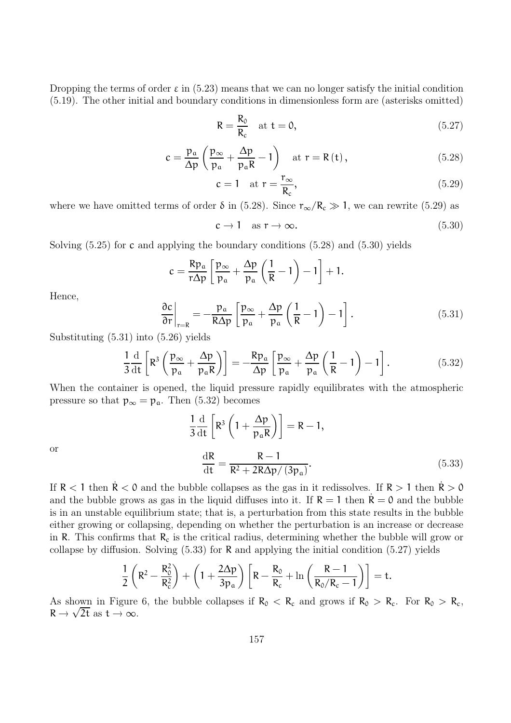Dropping the terms of order  $\varepsilon$  in (5.23) means that we can no longer satisfy the initial condition (5.19). The other initial and boundary conditions in dimensionless form are (asterisks omitted)

$$
R = \frac{R_0}{R_c} \quad \text{at } t = 0,
$$
\n(5.27)

$$
c = \frac{p_a}{\Delta p} \left( \frac{p_{\infty}}{p_a} + \frac{\Delta p}{p_a R} - 1 \right) \quad \text{at } r = R(t), \tag{5.28}
$$

$$
c = 1 \quad \text{at } r = \frac{r_{\infty}}{R_c},\tag{5.29}
$$

where we have omitted terms of order  $\delta$  in (5.28). Since  $r_{\infty}/R_c \gg 1$ , we can rewrite (5.29) as

$$
c \to 1 \quad \text{as } r \to \infty. \tag{5.30}
$$

Solving  $(5.25)$  for c and applying the boundary conditions  $(5.28)$  and  $(5.30)$  yields

$$
c = \frac{Rp_a}{r\Delta p} \left[ \frac{p_{\infty}}{p_a} + \frac{\Delta p}{p_a} \left( \frac{1}{R} - 1 \right) - 1 \right] + 1.
$$

Hence,

$$
\left. \frac{\partial c}{\partial r} \right|_{r=R} = -\frac{p_a}{R\Delta p} \left[ \frac{p_{\infty}}{p_a} + \frac{\Delta p}{p_a} \left( \frac{1}{R} - 1 \right) - 1 \right]. \tag{5.31}
$$

Substituting (5.31) into (5.26) yields

$$
\frac{1}{3}\frac{\mathrm{d}}{\mathrm{d}t}\left[\mathsf{R}^3\left(\frac{\mathsf{p}_{\infty}}{\mathsf{p}_{\mathrm{a}}}+\frac{\Delta\mathsf{p}}{\mathsf{p}_{\mathrm{a}}\mathsf{R}}\right)\right]=-\frac{\mathsf{R}\mathsf{p}_{\mathrm{a}}}{\Delta\mathsf{p}}\left[\frac{\mathsf{p}_{\infty}}{\mathsf{p}_{\mathrm{a}}}+\frac{\Delta\mathsf{p}}{\mathsf{p}_{\mathrm{a}}}\left(\frac{1}{\mathsf{R}}-1\right)-1\right].\tag{5.32}
$$

When the container is opened, the liquid pressure rapidly equilibrates with the atmospheric pressure so that  $p_{\infty} = p_{a}$ . Then (5.32) becomes

$$
\frac{1}{3}\frac{d}{dt}\left[R^3\left(1+\frac{\Delta p}{p_aR}\right)\right] = R - 1,
$$

$$
\frac{dR}{dt} = \frac{R - 1}{R^2 + 2R\Delta p/(3p_a)}.
$$
(5.33)

or

If  $R < 1$  then  $R < 0$  and the bubble collapses as the gas in it redissolves. If  $R > 1$  then  $R > 0$ and the bubble grows as gas in the liquid diffuses into it. If  $R = 1$  then  $R = 0$  and the bubble is in an unstable equilibrium state; that is, a perturbation from this state results in the bubble either growing or collapsing, depending on whether the perturbation is an increase or decrease in R. This confirms that  $R_c$  is the critical radius, determining whether the bubble will grow or collapse by diffusion. Solving  $(5.33)$  for R and applying the initial condition  $(5.27)$  yields

$$
\frac{1}{2}\left(R^2-\frac{R_0^2}{R_c^2}\right)+\left(1+\frac{2\Delta p}{3p_\alpha}\right)\left[R-\frac{R_0}{R_c}+\ln\left(\frac{R-1}{R_0/R_c-1}\right)\right]=t.
$$

As shown in Figure 6, the bubble collapses if  $R_0 < R_c$  and grows if  $R_0 > R_c$ . For  $R_0 > R_c$ ,  $R \rightarrow \sqrt{2t}$  as  $t \rightarrow \infty$ .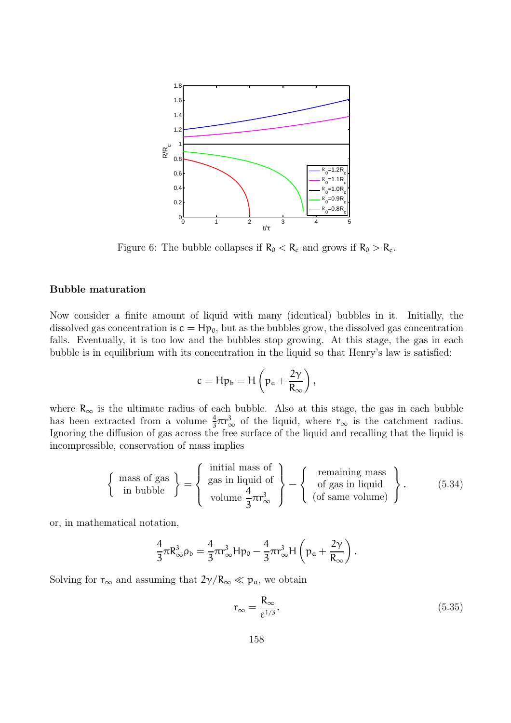

Figure 6: The bubble collapses if  $R_0 < R_c$  and grows if  $R_0 > R_c$ .

#### Bubble maturation

Now consider a finite amount of liquid with many (identical) bubbles in it. Initially, the dissolved gas concentration is  $c = Hp_0$ , but as the bubbles grow, the dissolved gas concentration falls. Eventually, it is too low and the bubbles stop growing. At this stage, the gas in each bubble is in equilibrium with its concentration in the liquid so that Henry's law is satisfied:

$$
c=Hp_b=H\left(p_a+\frac{2\gamma}{R_\infty}\right),
$$

where  $R_{\infty}$  is the ultimate radius of each bubble. Also at this stage, the gas in each bubble has been extracted from a volume  $\frac{4}{3}\pi r^3_{\infty}$  of the liquid, where  $r_{\infty}$  is the catchment radius. Ignoring the diffusion of gas across the free surface of the liquid and recalling that the liquid is incompressible, conservation of mass implies

$$
\left\{\begin{array}{c}\text{mass of gas} \\ \text{in bubble} \end{array}\right\} = \left\{\begin{array}{c}\text{initial mass of} \\ \text{gas in liquid of} \\ \text{volume } \frac{4}{3}\pi r_{\infty}^{3} \end{array}\right\} - \left\{\begin{array}{c}\text{remaining mass} \\ \text{of gas in liquid} \\ (\text{of same volume}) \end{array}\right\}.
$$
 (5.34)

or, in mathematical notation,

$$
\frac{4}{3}\pi R_{\infty}^3 \rho_b = \frac{4}{3}\pi r_{\infty}^3 H p_0 - \frac{4}{3}\pi r_{\infty}^3 H \left(p_a + \frac{2\gamma}{R_{\infty}}\right).
$$

Solving for  $r_{\infty}$  and assuming that  $2\gamma/R_{\infty} \ll p_a$ , we obtain

$$
r_{\infty} = \frac{R_{\infty}}{\varepsilon^{1/3}}.\tag{5.35}
$$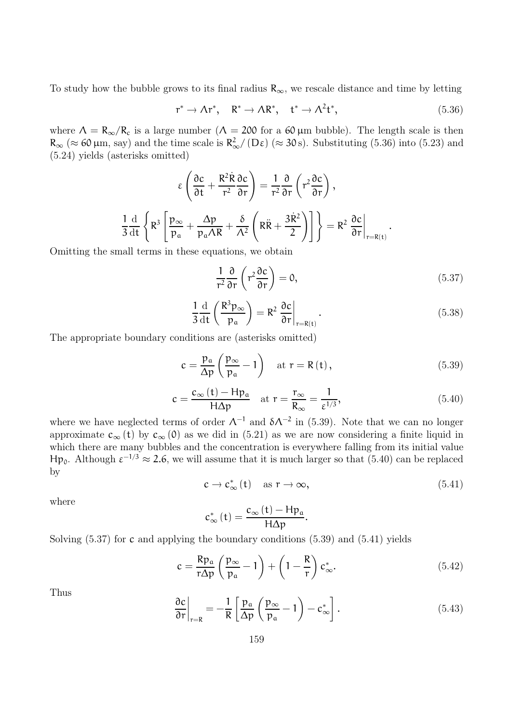To study how the bubble grows to its final radius  $R_{\infty}$ , we rescale distance and time by letting

$$
\mathbf{r}^* \to \Lambda \mathbf{r}^*, \quad \mathbf{R}^* \to \Lambda \mathbf{R}^*, \quad \mathbf{t}^* \to \Lambda^2 \mathbf{t}^*, \tag{5.36}
$$

where  $\Lambda = R_{\infty}/R_c$  is a large number  $(\Lambda = 200$  for a 60 µm bubble). The length scale is then  $R_{\infty}$  ( $\approx$  60  $\mu$ m, say) and the time scale is  $R_{\infty}^2/(D\varepsilon)$  ( $\approx$  30 s). Substituting (5.36) into (5.23) and (5.24) yields (asterisks omitted)

$$
\epsilon\left(\frac{\partial c}{\partial t}+\frac{R^2\dot{R}}{r^2}\frac{\partial c}{\partial r}\right)=\frac{1}{r^2}\frac{\partial}{\partial r}\left(r^2\frac{\partial c}{\partial r}\right),\\ \frac{1}{3}\frac{\mathrm{d}}{\mathrm{d}t}\left\{R^3\left[\frac{p_\infty}{p_\mathfrak{a}}+\frac{\Delta p}{p_\mathfrak{a}\Lambda R}+\frac{\delta}{\Lambda^2}\left(R\ddot{R}+\frac{3\dot{R}^2}{2}\right)\right]\right\}=R^2\left.\frac{\partial c}{\partial r}\right|_{r=R(t)}.
$$

Omitting the small terms in these equations, we obtain

$$
\frac{1}{r^2} \frac{\partial}{\partial r} \left( r^2 \frac{\partial c}{\partial r} \right) = 0, \tag{5.37}
$$

$$
\frac{1}{3} \frac{d}{dt} \left( \frac{R^3 p_{\infty}}{p_a} \right) = R^2 \left. \frac{\partial c}{\partial r} \right|_{r=R(t)}.
$$
\n(5.38)

The appropriate boundary conditions are (asterisks omitted)

$$
c = \frac{p_a}{\Delta p} \left( \frac{p_{\infty}}{p_a} - 1 \right) \quad \text{at } r = R(t), \tag{5.39}
$$

$$
c = \frac{c_{\infty} (t) - H p_{a}}{H \Delta p} \quad \text{at } r = \frac{r_{\infty}}{R_{\infty}} = \frac{1}{\varepsilon^{1/3}},
$$
(5.40)

where we have neglected terms of order  $\Lambda^{-1}$  and  $\delta \Lambda^{-2}$  in (5.39). Note that we can no longer approximate  $c_{\infty}$  (t) by  $c_{\infty}$  (0) as we did in (5.21) as we are now considering a finite liquid in which there are many bubbles and the concentration is everywhere falling from its initial value Hp<sub>0</sub>. Although  $ε^{-1/3} ≈ 2.6$ , we will assume that it is much larger so that (5.40) can be replaced by

$$
c \to c^*_{\infty}(t) \quad \text{as } r \to \infty,
$$
\n(5.41)

where

$$
c_{\infty}^{\ast}\left( t\right) =\frac{c_{\infty}\left( t\right) -Hp_{\mathfrak{a}}}{H\Delta p}.
$$

Solving  $(5.37)$  for c and applying the boundary conditions  $(5.39)$  and  $(5.41)$  yields

$$
c = \frac{Rp_a}{r\Delta p} \left(\frac{p_\infty}{p_a} - 1\right) + \left(1 - \frac{R}{r}\right) c_\infty^*.
$$
 (5.42)

Thus

$$
\left. \frac{\partial c}{\partial r} \right|_{r=R} = -\frac{1}{R} \left[ \frac{p_a}{\Delta p} \left( \frac{p_\infty}{p_a} - 1 \right) - c_\infty^* \right]. \tag{5.43}
$$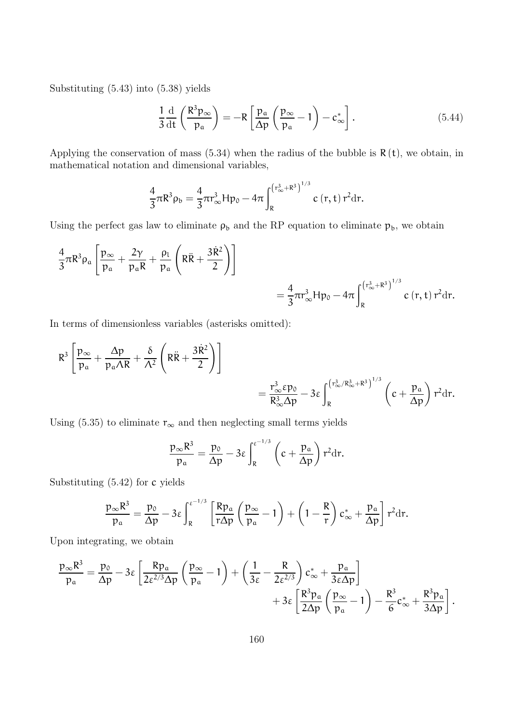Substituting (5.43) into (5.38) yields

$$
\frac{1}{3}\frac{\mathrm{d}}{\mathrm{d}t}\left(\frac{R^3p_{\infty}}{p_a}\right) = -R\left[\frac{p_a}{\Delta p}\left(\frac{p_{\infty}}{p_a} - 1\right) - c_{\infty}^*\right].\tag{5.44}
$$

Applying the conservation of mass  $(5.34)$  when the radius of the bubble is  $R(t)$ , we obtain, in mathematical notation and dimensional variables,

$$
\frac{4}{3}\pi R^3 \rho_b = \frac{4}{3}\pi r_\infty^3 H p_0 - 4\pi \int_R^{(r_\infty^3 + R^3)^{1/3}} c(r, t) r^2 dr.
$$

Using the perfect gas law to eliminate  $\rho_b$  and the RP equation to eliminate  $p_b$ , we obtain

$$
\begin{split} &\frac{4}{3}\pi R^3\rho_\alpha\left[\frac{p_\infty}{p_\alpha}+\frac{2\gamma}{p_\alpha R}+\frac{\rho_l}{p_\alpha}\left(R\ddot{R}+\frac{3\dot{R}^2}{2}\right)\right]\\ &=\frac{4}{3}\pi r_\infty^3Hp_0-4\pi\int_{R}^{\left(r_\infty^3+R^3\right)^{1/3}}c\left(r,t\right)r^2dr. \end{split}
$$

In terms of dimensionless variables (asterisks omitted):

$$
R^3 \left[ \frac{p_{\infty}}{p_{\alpha}} + \frac{\Delta p}{p_{\alpha} \Lambda R} + \frac{\delta}{\Lambda^2} \left( R \ddot{R} + \frac{3 \dot{R}^2}{2} \right) \right] \\ = \frac{r_{\infty}^3 \epsilon p_0}{R_{\infty}^3 \Delta p} - 3 \epsilon \int_{R}^{ \left( r_{\infty}^3 / R_{\infty}^3 + R^3 \right)^{1/3}} \left( c + \frac{p_{\alpha}}{\Delta p} \right) r^2 dr.
$$

Using (5.35) to eliminate  $r_{\infty}$  and then neglecting small terms yields

$$
\frac{p_{\infty}R^3}{p_{\alpha}} = \frac{p_0}{\Delta p} - 3\varepsilon \int_R^{\varepsilon^{-1/3}} \left(c + \frac{p_{\alpha}}{\Delta p}\right) r^2 dr.
$$

Substituting (5.42) for c yields

$$
\frac{p_{\infty}R^3}{p_a} = \frac{p_0}{\Delta p} - 3\epsilon \int_R^{\epsilon^{-1/3}} \left[ \frac{Rp_a}{r\Delta p} \left( \frac{p_{\infty}}{p_a} - 1 \right) + \left( 1 - \frac{R}{r} \right) c_{\infty}^* + \frac{p_a}{\Delta p} \right] r^2 dr.
$$

Upon integrating, we obtain

$$
\frac{p_{\infty}R^3}{p_a} = \frac{p_0}{\Delta p} - 3\epsilon \left[ \frac{Rp_a}{2\epsilon^{2/3}\Delta p} \left( \frac{p_{\infty}}{p_a} - 1 \right) + \left( \frac{1}{3\epsilon} - \frac{R}{2\epsilon^{2/3}} \right) c_{\infty}^* + \frac{p_a}{3\epsilon\Delta p} \right] + 3\epsilon \left[ \frac{R^3p_a}{2\Delta p} \left( \frac{p_{\infty}}{p_a} - 1 \right) - \frac{R^3}{6} c_{\infty}^* + \frac{R^3p_a}{3\Delta p} \right].
$$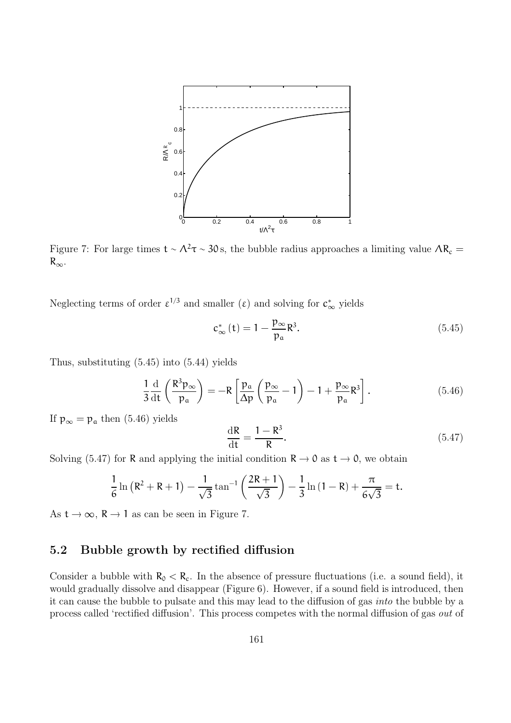

Figure 7: For large times  $t \sim \Lambda^2 \tau \sim 30 \text{ s}$ , the bubble radius approaches a limiting value  $\Lambda R_c =$  $R_{\infty}$ .

Neglecting terms of order  $\varepsilon^{1/3}$  and smaller ( $\varepsilon$ ) and solving for  $c_{\infty}^*$  yields

$$
c_{\infty}^{*}\left(t\right) = 1 - \frac{p_{\infty}}{p_{a}}R^{3}.\tag{5.45}
$$

Thus, substituting (5.45) into (5.44) yields

$$
\frac{1}{3}\frac{\mathrm{d}}{\mathrm{d}t}\left(\frac{R^3p_{\infty}}{p_a}\right) = -R\left[\frac{p_a}{\Delta p}\left(\frac{p_{\infty}}{p_a} - 1\right) - 1 + \frac{p_{\infty}}{p_a}R^3\right].\tag{5.46}
$$

If  $p_{\infty} = p_a$  then (5.46) yields

$$
\frac{\mathrm{d}\mathbf{R}}{\mathrm{d}\mathbf{t}} = \frac{1 - \mathbf{R}^3}{\mathbf{R}}.\tag{5.47}
$$

Solving (5.47) for R and applying the initial condition  $R \to 0$  as  $t \to 0$ , we obtain

$$
\frac{1}{6}\ln\left(R^2+R+1\right)-\frac{1}{\sqrt{3}}\tan^{-1}\left(\frac{2R+1}{\sqrt{3}}\right)-\frac{1}{3}\ln\left(1-R\right)+\frac{\pi}{6\sqrt{3}}=t.
$$

As  $t \to \infty$ ,  $R \to 1$  as can be seen in Figure 7.

### 5.2 Bubble growth by rectified diffusion

Consider a bubble with  $R_0 < R_c$ . In the absence of pressure fluctuations (i.e. a sound field), it would gradually dissolve and disappear (Figure 6). However, if a sound field is introduced, then it can cause the bubble to pulsate and this may lead to the diffusion of gas into the bubble by a process called 'rectified diffusion'. This process competes with the normal diffusion of gas out of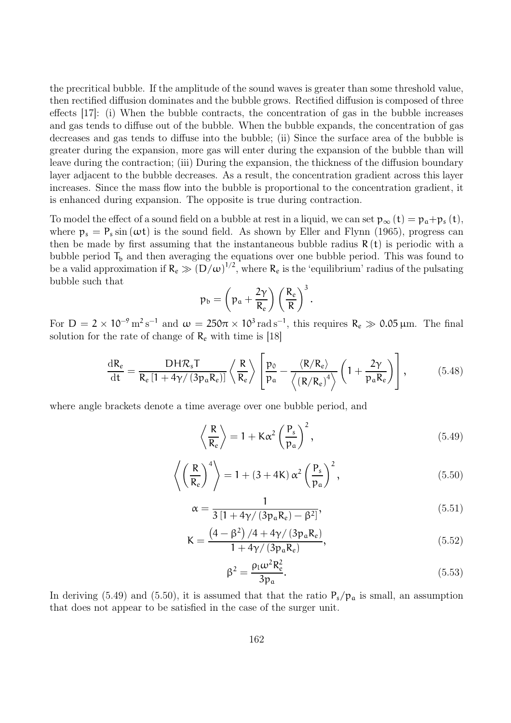the precritical bubble. If the amplitude of the sound waves is greater than some threshold value, then rectified diffusion dominates and the bubble grows. Rectified diffusion is composed of three effects [17]: (i) When the bubble contracts, the concentration of gas in the bubble increases and gas tends to diffuse out of the bubble. When the bubble expands, the concentration of gas decreases and gas tends to diffuse into the bubble; (ii) Since the surface area of the bubble is greater during the expansion, more gas will enter during the expansion of the bubble than will leave during the contraction; (iii) During the expansion, the thickness of the diffusion boundary layer adjacent to the bubble decreases. As a result, the concentration gradient across this layer increases. Since the mass flow into the bubble is proportional to the concentration gradient, it is enhanced during expansion. The opposite is true during contraction.

To model the effect of a sound field on a bubble at rest in a liquid, we can set  $p_{\infty} (t) = p_{\mathfrak{a}} + p_{s} (t)$ , where  $p_s = P_s \sin(\omega t)$  is the sound field. As shown by Eller and Flynn (1965), progress can then be made by first assuming that the instantaneous bubble radius  $R(t)$  is periodic with a bubble period  $T_b$  and then averaging the equations over one bubble period. This was found to be a valid approximation if  $R_e \gg (D/\omega)^{1/2}$ , where  $R_e$  is the 'equilibrium' radius of the pulsating bubble such that

$$
\mathsf{p}_{\mathsf{b}} = \left(\mathsf{p}_{\mathsf{a}} + \frac{2\gamma}{R_e}\right) \left(\frac{R_e}{R}\right)^3.
$$

For  $D = 2 \times 10^{-9} \text{ m}^2 \text{s}^{-1}$  and  $\omega = 250\pi \times 10^3 \text{ rad s}^{-1}$ , this requires  $R_e \gg 0.05 \mu \text{m}$ . The final solution for the rate of change of  $\mathsf{R}_{e}$  with time is [18]

$$
\frac{\mathrm{d}R_{e}}{\mathrm{d}t} = \frac{DH\mathcal{R}_{s}T}{R_{e}\left[1+4\gamma/\left(3p_{a}R_{e}\right)\right]}\left\langle\frac{R}{R_{e}}\right\rangle \left[\frac{p_{0}}{p_{a}} - \frac{\left\langle R/R_{e}\right\rangle}{\left\langle\left(R/R_{e}\right)^{4}\right\rangle}\left(1+\frac{2\gamma}{p_{a}R_{e}}\right)\right],\tag{5.48}
$$

where angle brackets denote a time average over one bubble period, and

$$
\left\langle \frac{R}{R_e} \right\rangle = 1 + K\alpha^2 \left(\frac{P_s}{p_a}\right)^2, \tag{5.49}
$$

$$
\left\langle \left(\frac{R}{R_e}\right)^4 \right\rangle = 1 + (3 + 4K) \alpha^2 \left(\frac{P_s}{p_a}\right)^2, \tag{5.50}
$$

$$
\alpha = \frac{1}{3\left[1 + 4\gamma/\left(3p_a R_e\right) - \beta^2\right]},\tag{5.51}
$$

$$
K = \frac{\left(4 - \beta^2\right)/4 + 4\gamma/\left(3p_a R_e\right)}{1 + 4\gamma/\left(3p_a R_e\right)},\tag{5.52}
$$

$$
\beta^2 = \frac{\rho_1 \omega^2 R_e^2}{3p_a}.
$$
\n(5.53)

In deriving (5.49) and (5.50), it is assumed that that the ratio  $P_s/p_a$  is small, an assumption that does not appear to be satisfied in the case of the surger unit.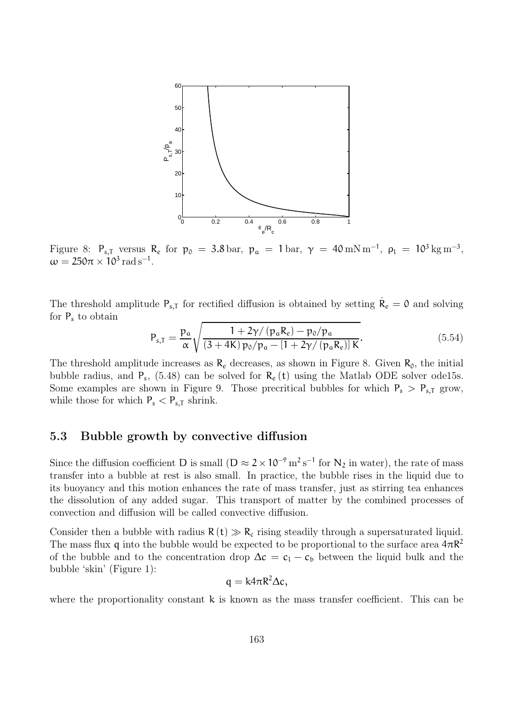

Figure 8:  $P_{s,T}$  versus  $R_e$  for  $p_0 = 3.8$  bar,  $p_a = 1$  bar,  $\gamma = 40$  mN m<sup>-1</sup>,  $\rho_l = 10^3$  kg m<sup>-3</sup>,  $\omega = 250\pi \times 10^3 \,\text{rad}\,\text{s}^{-1}$ .

The threshold amplitude  $P_{s,T}$  for rectified diffusion is obtained by setting  $\dot{R}_e = 0$  and solving for  $P_s$  to obtain

$$
P_{s,T} = \frac{p_a}{\alpha} \sqrt{\frac{1 + 2\gamma / (p_a R_e) - p_0 / p_a}{(3 + 4K) p_0 / p_a - [1 + 2\gamma / (p_a R_e)] K}}.
$$
(5.54)

The threshold amplitude increases as  $R_e$  decreases, as shown in Figure 8. Given  $R_0$ , the initial bubble radius, and  $P_s$ , (5.48) can be solved for  $R_e(t)$  using the Matlab ODE solver ode15s. Some examples are shown in Figure 9. Those precritical bubbles for which  $P_s > P_{s,T}$  grow, while those for which  $P_s < P_{s,T}$  shrink.

#### 5.3 Bubble growth by convective diffusion

Since the diffusion coefficient D is small ( $D \approx 2 \times 10^{-9}$  m<sup>2</sup> s<sup>-1</sup> for N<sub>2</sub> in water), the rate of mass transfer into a bubble at rest is also small. In practice, the bubble rises in the liquid due to its buoyancy and this motion enhances the rate of mass transfer, just as stirring tea enhances the dissolution of any added sugar. This transport of matter by the combined processes of convection and diffusion will be called convective diffusion.

Consider then a bubble with radius  $R(t) \gg R_c$  rising steadily through a supersaturated liquid. The mass flux q into the bubble would be expected to be proportional to the surface area  $4\pi R^2$ of the bubble and to the concentration drop  $\Delta c = c_1 - c_b$  between the liquid bulk and the bubble 'skin' (Figure 1):

$$
q = k4\pi R^2 \Delta c,
$$

where the proportionality constant  $k$  is known as the mass transfer coefficient. This can be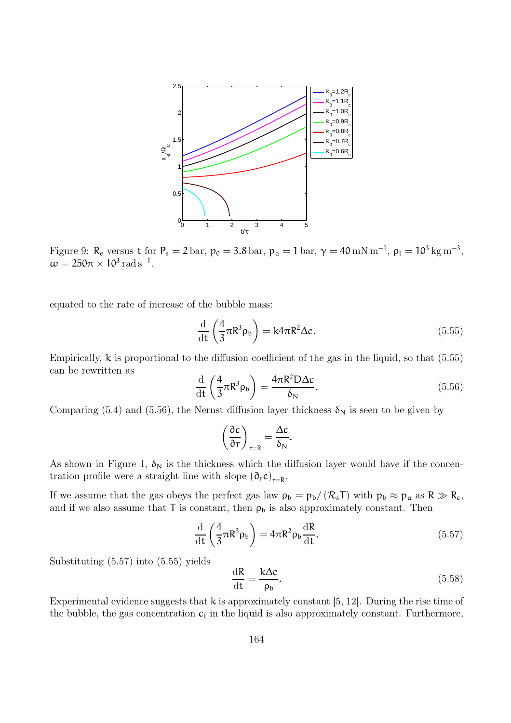

Figure 9:  $R_e$  versus t for  $P_s = 2$  bar,  $p_0 = 3.8$  bar,  $p_a = 1$  bar,  $\gamma = 40$  mN m<sup>-1</sup>,  $\rho_l = 10^3$  kg m<sup>-3</sup>,  $\omega = 250\pi \times 10^3 \,\text{rad}\,\text{s}^{-1}.$ 

equated to the rate of increase of the bubble mass:

$$
\frac{\mathrm{d}}{\mathrm{d}t} \left( \frac{4}{3} \pi R^3 \rho_b \right) = k4 \pi R^2 \Delta c. \tag{5.55}
$$

Empirically, k is proportional to the diffusion coefficient of the gas in the liquid, so that (5.55) can be rewritten as

$$
\frac{\mathrm{d}}{\mathrm{d}t} \left( \frac{4}{3} \pi R^3 \rho_b \right) = \frac{4 \pi R^2 D \Delta c}{\delta_N}.
$$
\n(5.56)

Comparing (5.4) and (5.56), the Nernst diffusion layer thickness  $\delta_N$  is seen to be given by

$$
\left(\frac{\partial c}{\partial r}\right)_{r=R}=\frac{\Delta c}{\delta_N}.
$$

As shown in Figure 1,  $\delta_N$  is the thickness which the diffusion layer would have if the concentration profile were a straight line with slope  $(\partial_r c)_{r=R}$ .

If we assume that the gas obeys the perfect gas law  $\rho_b = p_b/(R_sT)$  with  $p_b \approx p_a$  as  $R \gg R_c$ , and if we also assume that  $T$  is constant, then  $\rho_b$  is also approximately constant. Then

$$
\frac{\mathrm{d}}{\mathrm{d}t} \left( \frac{4}{3} \pi R^3 \rho_b \right) = 4 \pi R^2 \rho_b \frac{\mathrm{d}R}{\mathrm{d}t}.
$$
\n(5.57)

Substituting (5.57) into (5.55) yields

$$
\frac{\mathrm{d}R}{\mathrm{d}t} = \frac{k\Delta c}{\rho_b}.\tag{5.58}
$$

Experimental evidence suggests that k is approximately constant [5, 12]. During the rise time of the bubble, the gas concentration  $c_l$  in the liquid is also approximately constant. Furthermore,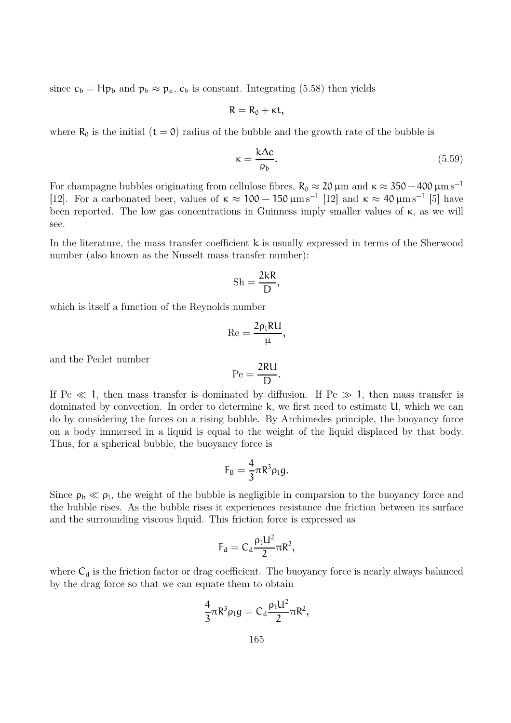since  $c_b = Hp_b$  and  $p_b \approx p_a$ ,  $c_b$  is constant. Integrating (5.58) then yields

$$
R=R_0+\kappa t,
$$

where  $R_0$  is the initial  $(t = 0)$  radius of the bubble and the growth rate of the bubble is

$$
\kappa = \frac{k\Delta c}{\rho_b}.\tag{5.59}
$$

For champagne bubbles originating from cellulose fibres,  $R_0 \approx 20 \,\mu m$  and  $\kappa \approx 350 - 400 \,\mu m s^{-1}$ [12]. For a carbonated beer, values of  $\kappa \approx 100 - 150 \,\mu\text{m s}^{-1}$  [12] and  $\kappa \approx 40 \,\mu\text{m s}^{-1}$  [5] have been reported. The low gas concentrations in Guinness imply smaller values of κ, as we will see.

In the literature, the mass transfer coefficient k is usually expressed in terms of the Sherwood number (also known as the Nusselt mass transfer number):

$$
Sh = \frac{2kR}{D},
$$

which is itself a function of the Reynolds number

$$
\mathrm{Re}=\frac{2\rho_l R U}{\mu},
$$

and the Peclet number

$$
\mathrm{Pe} = \frac{2\mathrm{RU}}{\mathrm{D}}.
$$

If Pe  $\ll 1$ , then mass transfer is dominated by diffusion. If Pe  $\gg 1$ , then mass transfer is dominated by convection. In order to determine k, we first need to estimate U, which we can do by considering the forces on a rising bubble. By Archimedes principle, the buoyancy force on a body immersed in a liquid is equal to the weight of the liquid displaced by that body. Thus, for a spherical bubble, the buoyancy force is

$$
F_B=\frac{4}{3}\pi R^3\rho_l g.
$$

Since  $\rho_b \ll \rho_l$ , the weight of the bubble is negligible in comparsion to the buoyancy force and the bubble rises. As the bubble rises it experiences resistance due friction between its surface and the surrounding viscous liquid. This friction force is expressed as

$$
F_d=C_d\frac{\rho_l U^2}{2}\pi R^2,
$$

where  $C_d$  is the friction factor or drag coefficient. The buoyancy force is nearly always balanced by the drag force so that we can equate them to obtain

$$
\frac{4}{3}\pi R^3 \rho_1 g = C_d \frac{\rho_1 U^2}{2} \pi R^2,
$$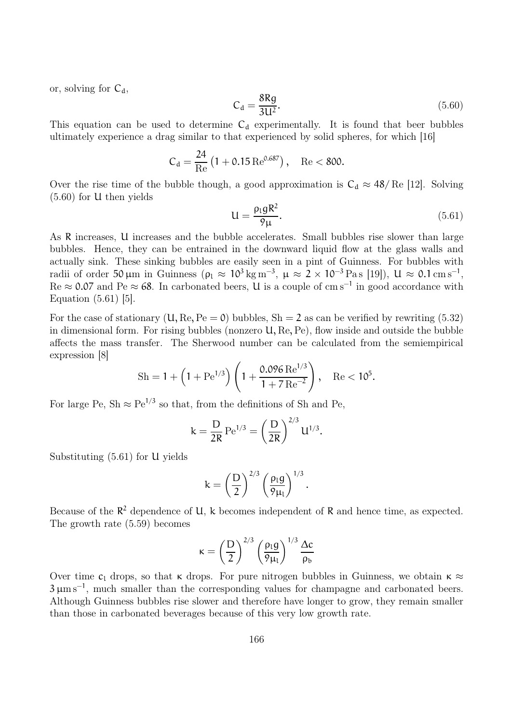or, solving for  $C_d$ ,

$$
C_d = \frac{8Rg}{3U^2}.\tag{5.60}
$$

This equation can be used to determine  $C_d$  experimentally. It is found that beer bubbles ultimately experience a drag similar to that experienced by solid spheres, for which [16]

$$
C_d = \frac{24}{\text{Re}} \left( 1 + 0.15 \,\text{Re}^{0.687} \right), \quad \text{Re} < 800.
$$

Over the rise time of the bubble though, a good approximation is  $C_d \approx 48/$  Re [12]. Solving (5.60) for U then yields

$$
U = \frac{\rho_l g R^2}{\rho_\mu}.\tag{5.61}
$$

As R increases, U increases and the bubble accelerates. Small bubbles rise slower than large bubbles. Hence, they can be entrained in the downward liquid flow at the glass walls and actually sink. These sinking bubbles are easily seen in a pint of Guinness. For bubbles with radii of order 50 µm in Guinness ( $\rho_1 \approx 10^3 \,\mathrm{kg} \,\mathrm{m}^{-3}$ ,  $\mu \approx 2 \times 10^{-3} \,\mathrm{Pa} \,\mathrm{s}$  [19]),  $U \approx 0.1 \,\mathrm{cm} \,\mathrm{s}^{-1}$ ,  $\text{Re} \approx 0.07$  and  $\text{Pe} \approx 68$ . In carbonated beers, U is a couple of cm s<sup>-1</sup> in good accordance with Equation (5.61) [5].

For the case of stationary  $(U, \text{Re}, \text{Pe} = 0)$  bubbles,  $\text{Sh} = 2$  as can be verified by rewriting (5.32) in dimensional form. For rising bubbles (nonzero U, Re, Pe), flow inside and outside the bubble affects the mass transfer. The Sherwood number can be calculated from the semiempirical expression [8]

$$
\mathrm{Sh} = 1 + \left(1 + \mathrm{Pe}^{1/3}\right) \left(1 + \frac{0.096 \,\mathrm{Re}^{1/3}}{1 + 7 \,\mathrm{Re}^{-2}}\right), \quad \mathrm{Re} < 10^5.
$$

For large Pe, Sh  $\approx$  Pe<sup>1/3</sup> so that, from the definitions of Sh and Pe,

$$
k = \frac{D}{2R} \operatorname{Pe}^{1/3} = \left(\frac{D}{2R}\right)^{2/3} U^{1/3}.
$$

Substituting (5.61) for U yields

$$
k = \left(\frac{D}{2}\right)^{2/3} \left(\frac{\rho_1 g}{9\mu_1}\right)^{1/3}
$$

.

Because of the  $\mathbb{R}^2$  dependence of U, k becomes independent of R and hence time, as expected. The growth rate (5.59) becomes

$$
\kappa = \left(\frac{D}{2}\right)^{2/3} \left(\frac{\rho_l g}{9\mu_l}\right)^{1/3} \frac{\Delta c}{\rho_b}
$$

Over time  $c_1$  drops, so that  $\kappa$  drops. For pure nitrogen bubbles in Guinness, we obtain  $\kappa \approx$  $3 \mu m s^{-1}$ , much smaller than the corresponding values for champagne and carbonated beers. Although Guinness bubbles rise slower and therefore have longer to grow, they remain smaller than those in carbonated beverages because of this very low growth rate.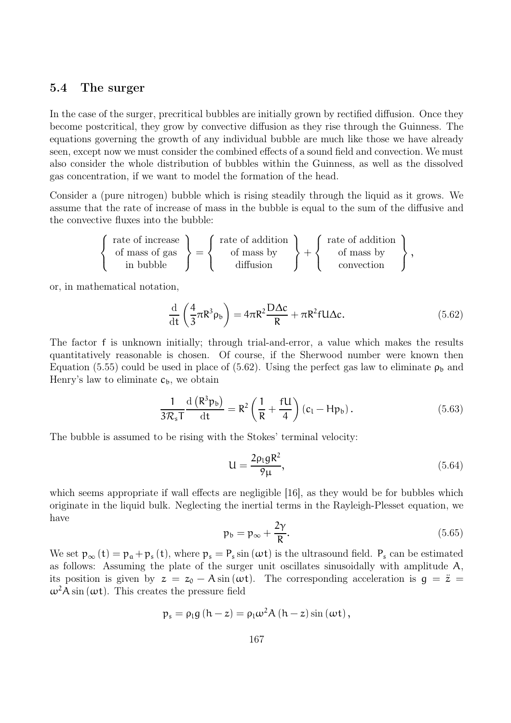#### 5.4 The surger

In the case of the surger, precritical bubbles are initially grown by rectified diffusion. Once they become postcritical, they grow by convective diffusion as they rise through the Guinness. The equations governing the growth of any individual bubble are much like those we have already seen, except now we must consider the combined effects of a sound field and convection. We must also consider the whole distribution of bubbles within the Guinness, as well as the dissolved gas concentration, if we want to model the formation of the head.

Consider a (pure nitrogen) bubble which is rising steadily through the liquid as it grows. We assume that the rate of increase of mass in the bubble is equal to the sum of the diffusive and the convective fluxes into the bubble:

$$
\left\{\begin{array}{c}\text{rate of increase} \\ \text{of mass of gas} \\ \text{in bubble}\end{array}\right\} = \left\{\begin{array}{c}\text{rate of addition} \\ \text{of mass by} \\ \text{diffusion}\end{array}\right\} + \left\{\begin{array}{c}\text{rate of addition} \\ \text{of mass by} \\ \text{convection}\end{array}\right\}
$$

or, in mathematical notation,

$$
\frac{\mathrm{d}}{\mathrm{d}t} \left( \frac{4}{3} \pi R^3 \rho_b \right) = 4 \pi R^2 \frac{D \Delta c}{R} + \pi R^2 f U \Delta c. \tag{5.62}
$$

The factor f is unknown initially; through trial-and-error, a value which makes the results quantitatively reasonable is chosen. Of course, if the Sherwood number were known then Equation (5.55) could be used in place of (5.62). Using the perfect gas law to eliminate  $\rho_b$  and Henry's law to eliminate  $c<sub>b</sub>$ , we obtain

$$
\frac{1}{3\mathcal{R}_s T} \frac{\mathrm{d}\left(\mathsf{R}^3 \mathsf{p}_b\right)}{\mathrm{d}t} = \mathsf{R}^2 \left(\frac{1}{\mathsf{R}} + \frac{\mathsf{f} U}{4}\right) \left(c_1 - \mathsf{H} \mathsf{p}_b\right). \tag{5.63}
$$

The bubble is assumed to be rising with the Stokes' terminal velocity:

$$
U = \frac{2\rho_1 g R^2}{9\mu},\tag{5.64}
$$

,

which seems appropriate if wall effects are negligible [16], as they would be for bubbles which originate in the liquid bulk. Neglecting the inertial terms in the Rayleigh-Plesset equation, we have

$$
p_b = p_{\infty} + \frac{2\gamma}{R}.\tag{5.65}
$$

We set  $p_{\infty} (t) = p_{\alpha} + p_s (t)$ , where  $p_s = P_s \sin (\omega t)$  is the ultrasound field.  $P_s$  can be estimated as follows: Assuming the plate of the surger unit oscillates sinusoidally with amplitude A, its position is given by  $z = z_0 - A \sin(\omega t)$ . The corresponding acceleration is  $g = \ddot{z} =$  $\omega^2 A \sin(\omega t)$ . This creates the pressure field

$$
p_s = \rho_l g (h - z) = \rho_l \omega^2 A (h - z) \sin (\omega t),
$$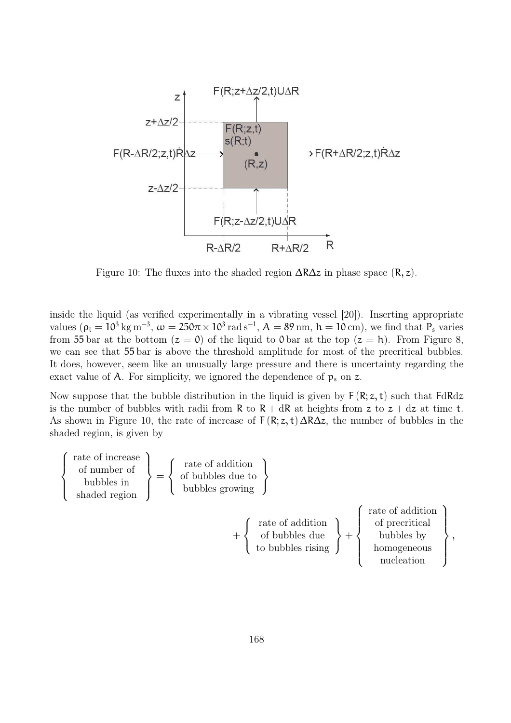

Figure 10: The fluxes into the shaded region  $\Delta R\Delta z$  in phase space  $(R, z)$ .

inside the liquid (as verified experimentally in a vibrating vessel [20]). Inserting appropriate values ( $\rho_l = 10^3 \text{ kg m}^{-3}$ ,  $\omega = 250\pi \times 10^3 \text{ rad s}^{-1}$ ,  $A = 89 \text{ nm}$ ,  $h = 10 \text{ cm}$ ), we find that  $P_s$  varies from 55 bar at the bottom  $(z = 0)$  of the liquid to 0 bar at the top  $(z = h)$ . From Figure 8, we can see that 55 bar is above the threshold amplitude for most of the precritical bubbles. It does, however, seem like an unusually large pressure and there is uncertainty regarding the exact value of A. For simplicity, we ignored the dependence of  $p_s$  on z.

Now suppose that the bubble distribution in the liquid is given by  $F(R; z, t)$  such that  $FdRdz$ is the number of bubbles with radii from R to  $R + dR$  at heights from z to  $z + dz$  at time t. As shown in Figure 10, the rate of increase of  $F(R; z, t) \Delta R \Delta z$ , the number of bubbles in the shaded region, is given by

$$
\left\{\begin{array}{c}\text{rate of increase} \\ \text{of number of} \\ \text{shaded region} \end{array}\right\} = \left\{\begin{array}{c}\text{rate of addition} \\ \text{of bubbles} \\ \text{bubbles growing} \end{array}\right\}
$$
\n
$$
+ \left\{\begin{array}{c}\text{rate of addition} \\ \text{of bubbles} \\ \text{to bubbles} \\ \text{to bubbles rising} \end{array}\right\} + \left\{\begin{array}{c}\text{rate of addition} \\ \text{of percritical} \\ \text{bubbles by} \\ \text{homogeneous} \\ \text{nucleation} \end{array}\right\}
$$

,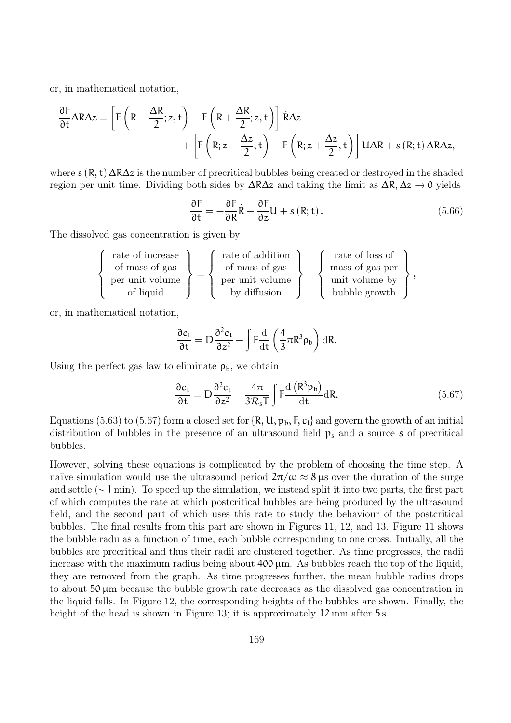or, in mathematical notation,

$$
\begin{aligned} \frac{\partial F}{\partial t} \Delta R \Delta z &= \left[ F \left( R - \frac{\Delta R}{2}; z, t \right) - F \left( R + \frac{\Delta R}{2}; z, t \right) \right] \dot{R} \Delta z \\ &+ \left[ F \left( R; z - \frac{\Delta z}{2}, t \right) - F \left( R; z + \frac{\Delta z}{2}, t \right) \right] U \Delta R + s \left( R; t \right) \Delta R \Delta z, \end{aligned}
$$

where  $s(R, t) \Delta R \Delta z$  is the number of precritical bubbles being created or destroyed in the shaded region per unit time. Dividing both sides by  $\Delta R\Delta z$  and taking the limit as  $\Delta R$ ,  $\Delta z \rightarrow 0$  yields

$$
\frac{\partial F}{\partial t} = -\frac{\partial F}{\partial R}\dot{R} - \frac{\partial F}{\partial z}U + s(R; t).
$$
 (5.66)

The dissolved gas concentration is given by

$$
\left\{\begin{array}{c}\text{rate of increase } \\ \text{of mass of gas } \\ \text{per unit volume } \\ \text{of liquid }\end{array}\right\}=\left\{\begin{array}{c}\text{rate of addition } \\ \text{of mass of gas } \\ \text{per unit volume } \\ \text{by diffusion }\end{array}\right\}-\left\{\begin{array}{c}\text{rate of loss of } \\ \text{mass of gas per } \\ \text{unit volume by } \\ \text{bubble growth }\end{array}\right\},
$$

or, in mathematical notation,

$$
\frac{\partial c_1}{\partial t} = D \frac{\partial^2 c_1}{\partial z^2} - \int F \frac{\mathrm{d}}{\mathrm{d}t} \left( \frac{4}{3} \pi R^3 \rho_b \right) \mathrm{d}R.
$$

Using the perfect gas law to eliminate  $\rho_b$ , we obtain

$$
\frac{\partial c_1}{\partial t} = D \frac{\partial^2 c_1}{\partial z^2} - \frac{4\pi}{3\mathcal{R}_s T} \int F \frac{d (R^3 p_b)}{dt} dR.
$$
 (5.67)

Equations (5.63) to (5.67) form a closed set for  $\{R, U, p_b, F, c_l\}$  and govern the growth of an initial distribution of bubbles in the presence of an ultrasound field  $p_s$  and a source s of precritical bubbles.

However, solving these equations is complicated by the problem of choosing the time step. A naïve simulation would use the ultrasound period  $2\pi/\omega \approx 8 \,\mu s$  over the duration of the surge and settle (∼ 1 min). To speed up the simulation, we instead split it into two parts, the first part of which computes the rate at which postcritical bubbles are being produced by the ultrasound field, and the second part of which uses this rate to study the behaviour of the postcritical bubbles. The final results from this part are shown in Figures 11, 12, and 13. Figure 11 shows the bubble radii as a function of time, each bubble corresponding to one cross. Initially, all the bubbles are precritical and thus their radii are clustered together. As time progresses, the radii increase with the maximum radius being about  $400 \mu m$ . As bubbles reach the top of the liquid, they are removed from the graph. As time progresses further, the mean bubble radius drops to about  $50 \mu m$  because the bubble growth rate decreases as the dissolved gas concentration in the liquid falls. In Figure 12, the corresponding heights of the bubbles are shown. Finally, the height of the head is shown in Figure 13; it is approximately 12 mm after 5 s.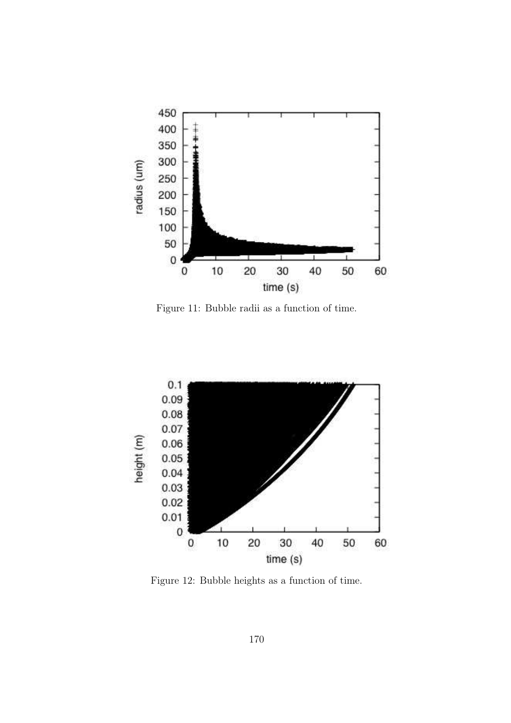

Figure 11: Bubble radii as a function of time.



Figure 12: Bubble heights as a function of time.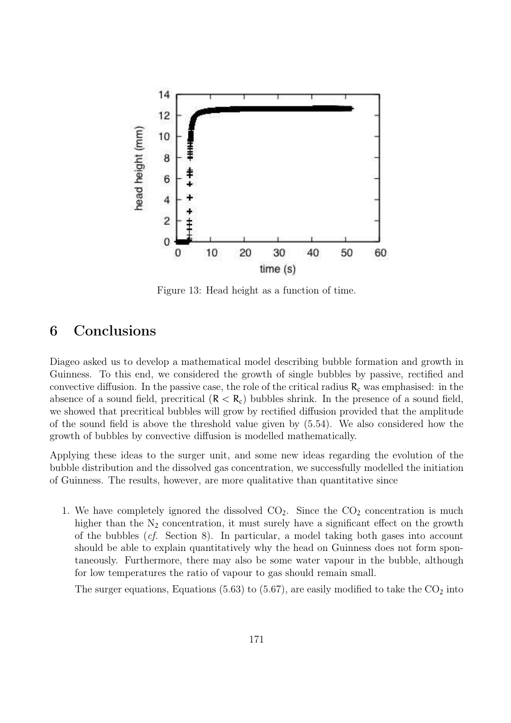

Figure 13: Head height as a function of time.

### 6 Conclusions

Diageo asked us to develop a mathematical model describing bubble formation and growth in Guinness. To this end, we considered the growth of single bubbles by passive, rectified and convective diffusion. In the passive case, the role of the critical radius  $R_c$  was emphasised: in the absence of a sound field, precritical  $(R < R<sub>c</sub>)$  bubbles shrink. In the presence of a sound field, we showed that precritical bubbles will grow by rectified diffusion provided that the amplitude of the sound field is above the threshold value given by (5.54). We also considered how the growth of bubbles by convective diffusion is modelled mathematically.

Applying these ideas to the surger unit, and some new ideas regarding the evolution of the bubble distribution and the dissolved gas concentration, we successfully modelled the initiation of Guinness. The results, however, are more qualitative than quantitative since

1. We have completely ignored the dissolved  $CO<sub>2</sub>$ . Since the  $CO<sub>2</sub>$  concentration is much higher than the  $N_2$  concentration, it must surely have a significant effect on the growth of the bubbles (cf. Section 8). In particular, a model taking both gases into account should be able to explain quantitatively why the head on Guinness does not form spontaneously. Furthermore, there may also be some water vapour in the bubble, although for low temperatures the ratio of vapour to gas should remain small.

The surger equations, Equations (5.63) to (5.67), are easily modified to take the  $CO<sub>2</sub>$  into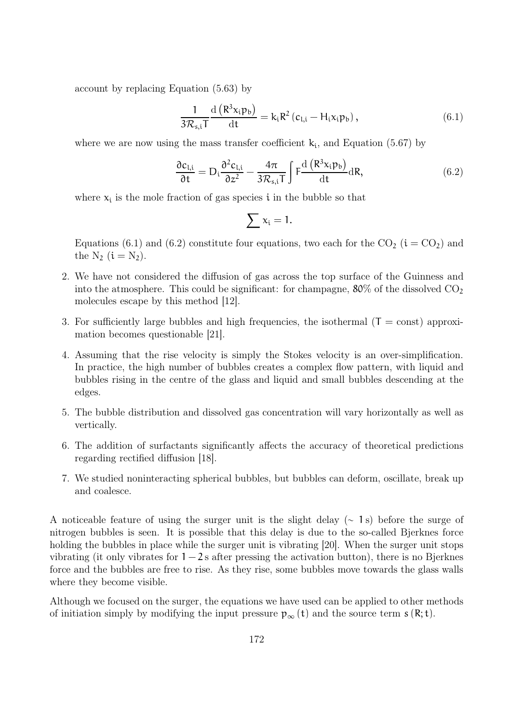account by replacing Equation (5.63) by

$$
\frac{1}{3\mathcal{R}_{s,i}T}\frac{\mathrm{d}\left(R^3x_i p_b\right)}{\mathrm{d}t} = k_i R^2 \left(c_{l,i} - H_i x_i p_b\right),\tag{6.1}
$$

where we are now using the mass transfer coefficient  $k_i$ , and Equation (5.67) by

$$
\frac{\partial c_{l,i}}{\partial t} = D_i \frac{\partial^2 c_{l,i}}{\partial z^2} - \frac{4\pi}{3\mathcal{R}_{s,i}T} \int F \frac{d\left(R^3 x_i p_b\right)}{dt} dR,
$$
\n(6.2)

where  $x_i$  is the mole fraction of gas species  $i$  in the bubble so that

$$
\sum x_i=1.
$$

Equations (6.1) and (6.2) constitute four equations, two each for the  $CO_2$  ( $i = CO_2$ ) and the  $N_2$   $(i = N_2)$ .

- 2. We have not considered the diffusion of gas across the top surface of the Guinness and into the atmosphere. This could be significant: for champagne,  $80\%$  of the dissolved  $CO<sub>2</sub>$ molecules escape by this method [12].
- 3. For sufficiently large bubbles and high frequencies, the isothermal  $(T = const)$  approximation becomes questionable [21].
- 4. Assuming that the rise velocity is simply the Stokes velocity is an over-simplification. In practice, the high number of bubbles creates a complex flow pattern, with liquid and bubbles rising in the centre of the glass and liquid and small bubbles descending at the edges.
- 5. The bubble distribution and dissolved gas concentration will vary horizontally as well as vertically.
- 6. The addition of surfactants significantly affects the accuracy of theoretical predictions regarding rectified diffusion [18].
- 7. We studied noninteracting spherical bubbles, but bubbles can deform, oscillate, break up and coalesce.

A noticeable feature of using the surger unit is the slight delay (∼ 1 s) before the surge of nitrogen bubbles is seen. It is possible that this delay is due to the so-called Bjerknes force holding the bubbles in place while the surger unit is vibrating [20]. When the surger unit stops vibrating (it only vibrates for  $1 - 2s$  after pressing the activation button), there is no Bjerknes force and the bubbles are free to rise. As they rise, some bubbles move towards the glass walls where they become visible.

Although we focused on the surger, the equations we have used can be applied to other methods of initiation simply by modifying the input pressure  $p_{\infty}(t)$  and the source term  $s(R; t)$ .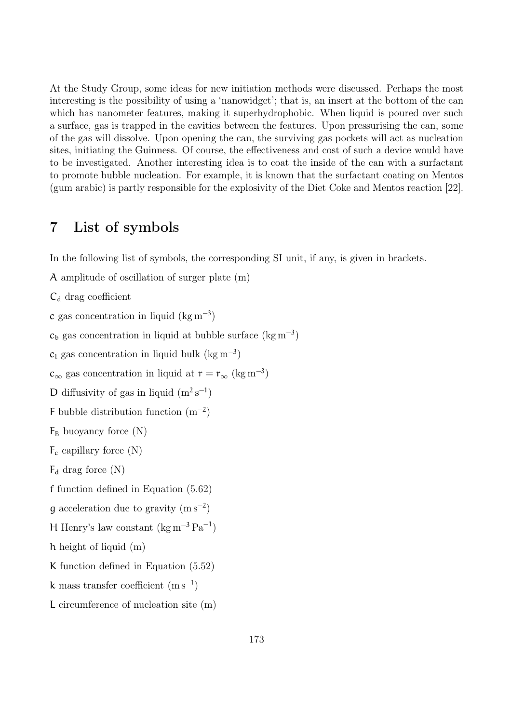At the Study Group, some ideas for new initiation methods were discussed. Perhaps the most interesting is the possibility of using a 'nanowidget'; that is, an insert at the bottom of the can which has nanometer features, making it superhydrophobic. When liquid is poured over such a surface, gas is trapped in the cavities between the features. Upon pressurising the can, some of the gas will dissolve. Upon opening the can, the surviving gas pockets will act as nucleation sites, initiating the Guinness. Of course, the effectiveness and cost of such a device would have to be investigated. Another interesting idea is to coat the inside of the can with a surfactant to promote bubble nucleation. For example, it is known that the surfactant coating on Mentos (gum arabic) is partly responsible for the explosivity of the Diet Coke and Mentos reaction [22].

## 7 List of symbols

In the following list of symbols, the corresponding SI unit, if any, is given in brackets.

A amplitude of oscillation of surger plate (m)

 $C_d$  drag coefficient

c gas concentration in liquid  $(\text{kg m}^{-3})$ 

 $c<sub>b</sub>$  gas concentration in liquid at bubble surface (kg m<sup>-3</sup>)

 $c_l$  gas concentration in liquid bulk (kg m<sup>-3</sup>)

 $c_{\infty}$  gas concentration in liquid at  $r = r_{\infty}$  (kg m<sup>-3</sup>)

D diffusivity of gas in liquid  $(m^2 s^{-1})$ 

F bubble distribution function  $(m^{-2})$ 

 $F_B$  buoyancy force  $(N)$ 

```
F_c capillary force (N)
```
 $F_d$  drag force  $(N)$ 

f function defined in Equation (5.62)

g acceleration due to gravity  $(m s^{-2})$ 

H Henry's law constant  $(\text{kg m}^{-3} \text{Pa}^{-1})$ 

h height of liquid (m)

K function defined in Equation (5.52)

k mass transfer coefficient  $(m s^{-1})$ 

L circumference of nucleation site (m)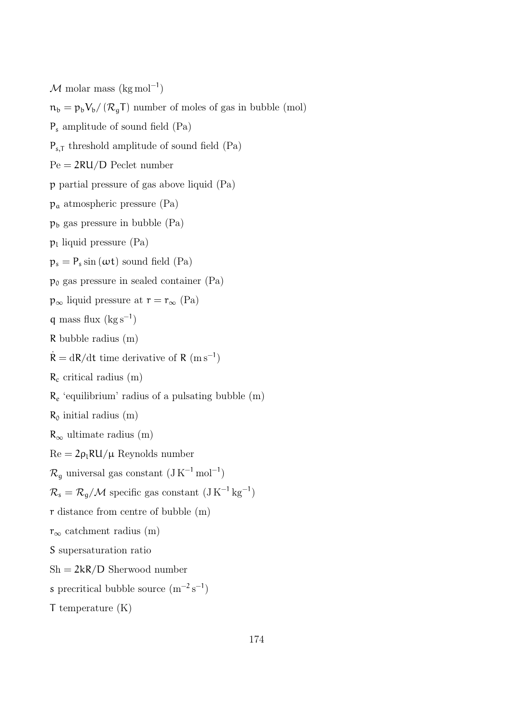$M$  molar mass (kg mol<sup>-1</sup>)  $n_b = p_b V_b / (R_a T)$  number of moles of gas in bubble (mol) P<sup>s</sup> amplitude of sound field (Pa)  $P_{s,T}$  threshold amplitude of sound field (Pa)  $Pe = 2RU/D$  Peclet number p partial pressure of gas above liquid (Pa)  $p_a$  atmospheric pressure (Pa)  $p<sub>b</sub>$  gas pressure in bubble (Pa)  $p_l$  liquid pressure (Pa)  $p_s = P_s \sin{(\omega t)}$  sound field (Pa)  $p_0$  gas pressure in sealed container (Pa)  $\mathfrak{p}_{\infty}$ liquid pressure at  $\mathfrak{r} = \mathfrak{r}_{\infty}$  (Pa) q mass flux  $(kg s^{-1})$ R bubble radius (m)  $\dot{\mathsf{R}} = \mathrm{d}\mathsf{R}/\mathrm{d}\mathsf{t}$  time derivative of  $\mathsf{R}$  (m s<sup>-1</sup>)  $R_c$  critical radius (m)  $R_e$  'equilibrium' radius of a pulsating bubble (m)  $R_0$  initial radius  $(m)$  $R_{\infty}$  ultimate radius (m)  $Re = 2\rho_l R U / \mu$  Reynolds number  $\mathcal{R}_{g}$  universal gas constant  $(\text{J K}^{-1} \text{ mol}^{-1})$  $\mathcal{R}_s = \mathcal{R}_g / \mathcal{M}$  specific gas constant  $(J K^{-1} kg^{-1})$ r distance from centre of bubble (m)  $r_{\infty}$  catchment radius (m) S supersaturation ratio  $Sh = 2kR/D$  Sherwood number s precritical bubble source  $(m^{-2} s^{-1})$ T temperature (K)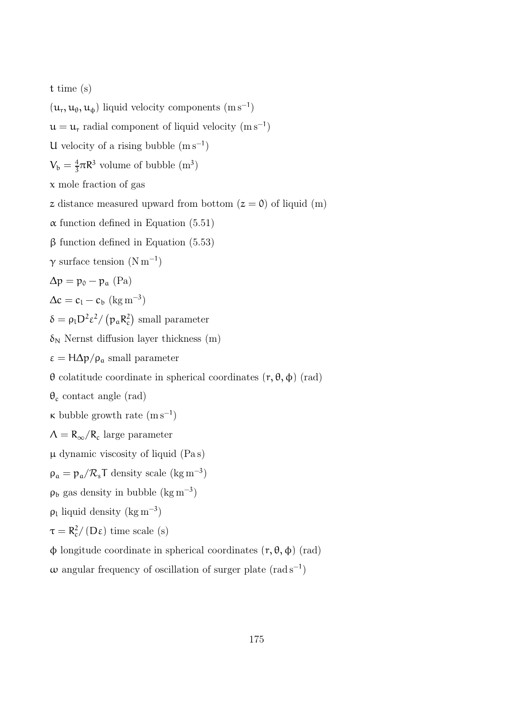t time (s)

 $(u_r, u_\theta, u_\phi)$  liquid velocity components  $(m s^{-1})$  $u = u_r$  radial component of liquid velocity  $(m s^{-1})$ U velocity of a rising bubble  $(m s^{-1})$  $V_{\rm b}=\frac{4}{3}$  $\frac{4}{3}\pi R^3$  volume of bubble  $(m^3)$ x mole fraction of gas z distance measured upward from bottom  $(z = 0)$  of liquid (m)  $\alpha$  function defined in Equation (5.51) β function defined in Equation (5.53)  $\gamma$  surface tension  $(N \, \text{m}^{-1})$  $\Delta p = p_0 - p_a$  (Pa)  $\Delta c = c_1 - c_b \, (\text{kg m}^{-3})$  $\delta = \rho_{l} D^{2} \varepsilon^{2} / (p_{a} R_{c}^{2})$  small parameter  $\delta_N$  Nernst diffusion layer thickness (m)  $\epsilon = H\Delta p/\rho_a$  small parameter θ colatitude coordinate in spherical coordinates (r, θ, φ) (rad)  $\theta_c$  contact angle (rad)  $\kappa$  bubble growth rate  $(m s^{-1})$  $\Lambda = R_{\infty}/R_c$  large parameter  $\mu$  dynamic viscosity of liquid (Pa s)  $\rho_a = p_a / R_s T$  density scale (kg m<sup>-3</sup>)  $\rho_b$  gas density in bubble (kg m<sup>-3</sup>)  $\rho_l$  liquid density (kg m<sup>-3</sup>)  $\tau = R_c^2 / (D \varepsilon)$  time scale (s)  $\phi$  longitude coordinate in spherical coordinates  $(r, θ, φ)$  (rad)  $\omega$  angular frequency of oscillation of surger plate (rad s<sup>-1</sup>)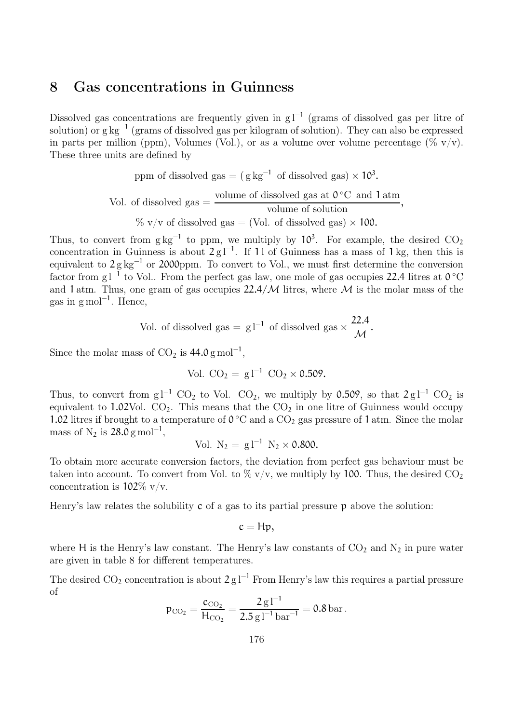### 8 Gas concentrations in Guinness

Dissolved gas concentrations are frequently given in g l<sup>-1</sup> (grams of dissolved gas per litre of solution) or g kg<sup>-1</sup> (grams of dissolved gas per kilogram of solution). They can also be expressed in parts per million (ppm), Volumes (Vol.), or as a volume over volume percentage ( $\%$  v/v). These three units are defined by

ppm of dissolved gas = 
$$
(g \text{ kg}^{-1} \text{ of dissolved gas}) \times 10^3
$$
.  
Vol. of dissolved gas =  $\frac{\text{volume of dissolved gas at 0°C and 1 atm}}{\text{volume of solution}}$ ,  
 $\% \text{ v/v of dissolved gas} = (\text{Vol. of dissolved gas}) \times 100$ .

Thus, to convert from  $g\, kg^{-1}$  to ppm, we multiply by 10<sup>3</sup>. For example, the desired  $CO_2$ concentration in Guinness is about  $2 \text{ g} l^{-1}$ . If 11 of Guinness has a mass of 1 kg, then this is equivalent to  $2 g kg^{-1}$  or 2000ppm. To convert to Vol., we must first determine the conversion factor from g l<sup>−1</sup> to Vol.. From the perfect gas law, one mole of gas occupies 22.4 litres at 0 °C and 1 atm. Thus, one gram of gas occupies  $22.4/M$  litres, where M is the molar mass of the gas in g mol<sup>-1</sup>. Hence,

Vol. of dissolved gas = 
$$
g l^{-1}
$$
 of dissolved gas  $\times \frac{22.4}{\mathcal{M}}$ .

Since the molar mass of  $CO_2$  is  $44.0 \text{ g mol}^{-1}$ ,

Vol. 
$$
CO_2 = g l^{-1} CO_2 \times 0.509
$$
.

Thus, to convert from g l<sup>-1</sup> CO<sub>2</sub> to Vol. CO<sub>2</sub>, we multiply by 0.509, so that  $2 \text{ g} l^{-1}$  CO<sub>2</sub> is equivalent to  $1.02$ Vol.  $CO<sub>2</sub>$ . This means that the  $CO<sub>2</sub>$  in one litre of Guinness would occupy 1.02 litres if brought to a temperature of  $0^{\circ}$ C and a CO<sub>2</sub> gas pressure of 1 atm. Since the molar mass of  $N_2$  is 28.0 g mol<sup>-1</sup>,

Vol. 
$$
N_2 = g l^{-1} N_2 \times 0.800
$$
.

To obtain more accurate conversion factors, the deviation from perfect gas behaviour must be taken into account. To convert from Vol. to  $\%$  v/v, we multiply by 100. Thus, the desired CO<sub>2</sub> concentration is  $102\%$  v/v.

Henry's law relates the solubility  $\tilde{c}$  of a gas to its partial pressure  $\tilde{p}$  above the solution:

$$
c=Hp,
$$

where H is the Henry's law constant. The Henry's law constants of  $CO<sub>2</sub>$  and  $N<sub>2</sub>$  in pure water are given in table 8 for different temperatures.

The desired CO<sub>2</sub> concentration is about  $2 \text{ g} l^{-1}$  From Henry's law this requires a partial pressure of

$$
p_{\text{CO}_2} = \frac{c_{\text{CO}_2}}{H_{\text{CO}_2}} = \frac{2 \,\mathrm{g}\,\mathrm{l}^{-1}}{2.5 \,\mathrm{g}\,\mathrm{l}^{-1} \,\mathrm{bar}^{-1}} = 0.8 \,\mathrm{bar}.
$$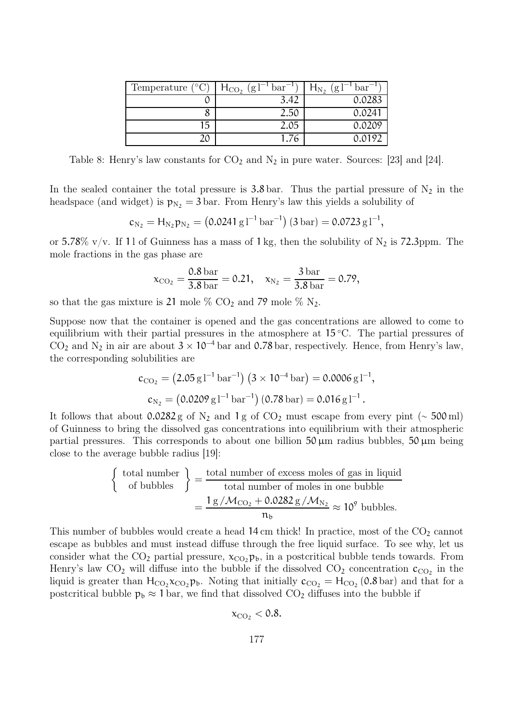| Temperature $(^{\circ}C)$ | (g1)<br>$H_{CO2}$<br>bar | $bar^-$<br>(g l<br>$H_{N_2}$ |
|---------------------------|--------------------------|------------------------------|
|                           | 3.42                     | 0.0283                       |
|                           | 2.5C                     | 0.024                        |
| 15                        | 2.05                     | 0.0209                       |
|                           | 1.76                     | <u>ስ ሰ191</u>                |

Table 8: Henry's law constants for  $CO_2$  and  $N_2$  in pure water. Sources: [23] and [24].

In the sealed container the total pressure is 3.8 bar. Thus the partial pressure of  $N_2$  in the headspace (and widget) is  $p_{N_2} = 3$  bar. From Henry's law this yields a solubility of

$$
c_{\mathrm{N_2}} = H_{\mathrm{N_2}} \mathfrak{p}_{\mathrm{N_2}} = \left( 0.0241 \, \mathrm{g} \, \mathrm{I}^{-1} \, \mathrm{bar}^{-1} \right) (3 \, \mathrm{bar}) = 0.0723 \, \mathrm{g} \, \mathrm{I}^{-1},
$$

or 5.78% v/v. If 11 of Guinness has a mass of 1 kg, then the solubility of  $N_2$  is 72.3ppm. The mole fractions in the gas phase are

$$
x_{\text{CO}_2} = \frac{0.8 \text{ bar}}{3.8 \text{ bar}} = 0.21, \quad x_{\text{N}_2} = \frac{3 \text{ bar}}{3.8 \text{ bar}} = 0.79,
$$

so that the gas mixture is 21 mole  $\%$  CO<sub>2</sub> and 79 mole  $\%$  N<sub>2</sub>.

Suppose now that the container is opened and the gas concentrations are allowed to come to equilibrium with their partial pressures in the atmosphere at  $15\degree C$ . The partial pressures of CO<sub>2</sub> and N<sub>2</sub> in air are about  $3 \times 10^{-4}$  bar and 0.78 bar, respectively. Hence, from Henry's law, the corresponding solubilities are

$$
c_{\text{CO}_2} = (2.05 \,\text{g}\,\text{I}^{-1}\,\text{bar}^{-1})\,(3 \times 10^{-4}\,\text{bar}) = 0.0006 \,\text{g}\,\text{I}^{-1},
$$
  

$$
c_{\text{N}_2} = (0.0209 \,\text{g}\,\text{I}^{-1}\,\text{bar}^{-1})\,(0.78 \,\text{bar}) = 0.016 \,\text{g}\,\text{I}^{-1}.
$$

It follows that about 0.0282 g of N<sub>2</sub> and 1 g of CO<sub>2</sub> must escape from every pint ( $\sim$  500 ml) of Guinness to bring the dissolved gas concentrations into equilibrium with their atmospheric partial pressures. This corresponds to about one billion  $50 \mu m$  radius bubbles,  $50 \mu m$  being close to the average bubble radius [19]:

$$
\begin{cases} \text{total number} \\ \text{of bubbles} \end{cases} = \frac{\text{total number of excess moles of gas in liquid}}{\text{total number of moles in one bubble}} = \frac{1 \text{ g} / \mathcal{M}_{\text{CO}_2} + 0.0282 \text{ g} / \mathcal{M}_{\text{N}_2}}{n_b} \approx 10^9 \text{ bubbles.}
$$

This number of bubbles would create a head  $14 \text{ cm}$  thick! In practice, most of the  $CO<sub>2</sub>$  cannot escape as bubbles and must instead diffuse through the free liquid surface. To see why, let us consider what the  $CO_2$  partial pressure,  $x_{CO_2}$ ,  $p_b$ , in a postcritical bubble tends towards. From Henry's law  $CO_2$  will diffuse into the bubble if the dissolved  $CO_2$  concentration  $\mathfrak{c}_{CO_2}$  in the liquid is greater than  $H_{CO_2}x_{CO_2}p_b$ . Noting that initially  $c_{CO_2} = H_{CO_2}(0.8 \text{ bar})$  and that for a postcritical bubble  $p_b \approx 1$  bar, we find that dissolved  $CO_2$  diffuses into the bubble if

$$
x_{\rm CO_2} < 0.8.
$$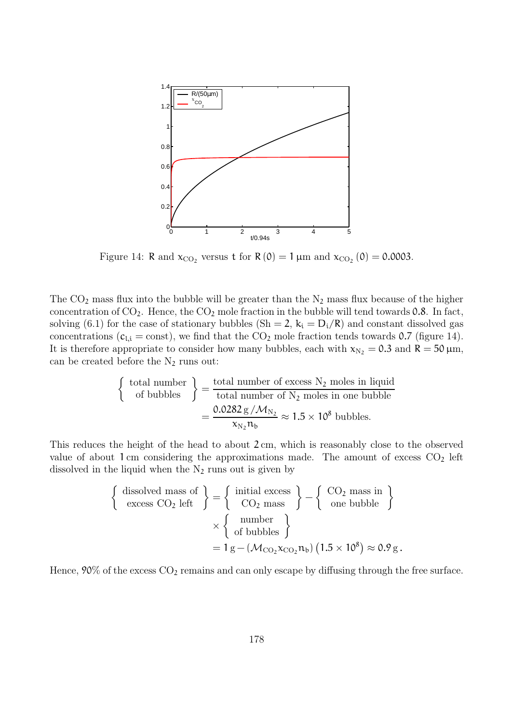

Figure 14: R and  $x_{CO_2}$  versus t for R(0) = 1  $\mu$ m and  $x_{CO_2}$ (0) = 0.0003.

The  $CO<sub>2</sub>$  mass flux into the bubble will be greater than the  $N<sub>2</sub>$  mass flux because of the higher concentration of  $CO_2$ . Hence, the  $CO_2$  mole fraction in the bubble will tend towards 0.8. In fact, solving (6.1) for the case of stationary bubbles (Sh = 2,  $k_i = D_i/R$ ) and constant dissolved gas concentrations ( $c_{i,i} = \text{const}$ ), we find that the CO<sub>2</sub> mole fraction tends towards 0.7 (figure 14). It is therefore appropriate to consider how many bubbles, each with  $x_{N_2} = 0.3$  and  $R = 50 \,\mu \text{m}$ , can be created before the  $N_2$  runs out:

$$
\begin{cases}\n\text{total number} \\
\text{of bubbles}\n\end{cases}\n=\n\begin{cases}\n\frac{\text{total number of excess N}_2 \text{ moles in liquid}}{\text{total number of N}_2 \text{ moles in one bubble}} \\
=\n\frac{0.0282 \, \text{g} / \mathcal{M}_{N_2}}{\kappa_{N_2} n_b} \approx 1.5 \times 10^8 \text{ bubbles.}\n\end{cases}
$$

This reduces the height of the head to about 2 cm, which is reasonably close to the observed value of about 1 cm considering the approximations made. The amount of excess  $CO<sub>2</sub>$  left dissolved in the liquid when the  $N_2$  runs out is given by

$$
\left\{\begin{array}{c}\text{dissolved mass of} \\ \text{excess CO}_2 \text{ left }\end{array}\right\} = \left\{\begin{array}{c}\text{initial excess} \\ \text{CO}_2 \text{ mass }\end{array}\right\} - \left\{\begin{array}{c}\text{CO}_2 \text{ mass in} \\ \text{one bubble }\end{array}\right\}
$$

$$
\times \left\{\begin{array}{c}\text{number} \\ \text{of bubbles }\end{array}\right\}
$$

$$
= 1 \text{ g} - (\mathcal{M}_{\text{CO}_2} x_{\text{CO}_2} n_b) (1.5 \times 10^8) \approx 0.9 \text{ g}.
$$

Hence,  $90\%$  of the excess  $CO_2$  remains and can only escape by diffusing through the free surface.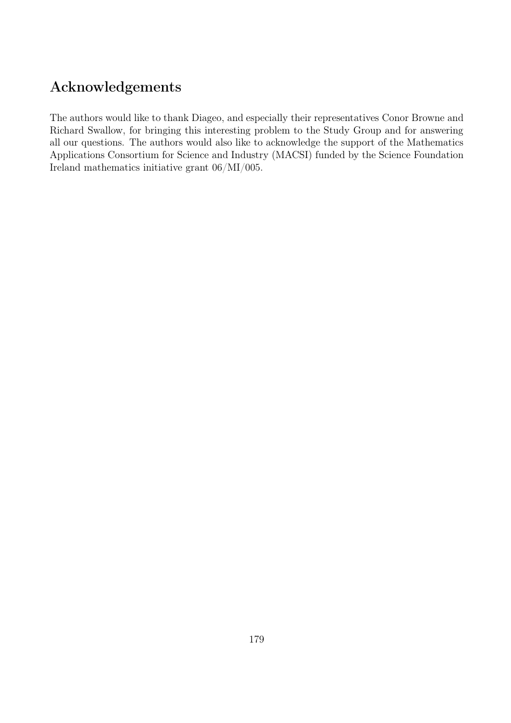## Acknowledgements

The authors would like to thank Diageo, and especially their representatives Conor Browne and Richard Swallow, for bringing this interesting problem to the Study Group and for answering all our questions. The authors would also like to acknowledge the support of the Mathematics Applications Consortium for Science and Industry (MACSI) funded by the Science Foundation Ireland mathematics initiative grant 06/MI/005.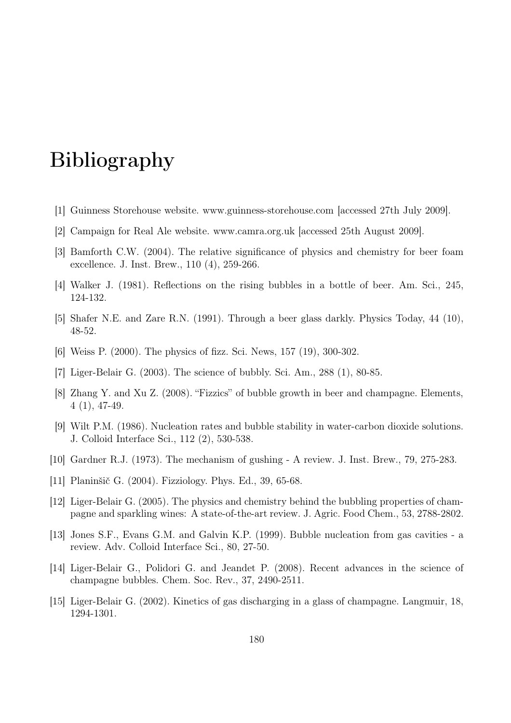# Bibliography

- [1] Guinness Storehouse website. www.guinness-storehouse.com [accessed 27th July 2009].
- [2] Campaign for Real Ale website. www.camra.org.uk [accessed 25th August 2009].
- [3] Bamforth C.W. (2004). The relative significance of physics and chemistry for beer foam excellence. J. Inst. Brew., 110 (4), 259-266.
- [4] Walker J. (1981). Reflections on the rising bubbles in a bottle of beer. Am. Sci., 245, 124-132.
- [5] Shafer N.E. and Zare R.N. (1991). Through a beer glass darkly. Physics Today, 44 (10), 48-52.
- [6] Weiss P. (2000). The physics of fizz. Sci. News, 157 (19), 300-302.
- [7] Liger-Belair G. (2003). The science of bubbly. Sci. Am., 288 (1), 80-85.
- [8] Zhang Y. and Xu Z. (2008). "Fizzics" of bubble growth in beer and champagne. Elements, 4 (1), 47-49.
- [9] Wilt P.M. (1986). Nucleation rates and bubble stability in water-carbon dioxide solutions. J. Colloid Interface Sci., 112 (2), 530-538.
- [10] Gardner R.J. (1973). The mechanism of gushing A review. J. Inst. Brew., 79, 275-283.
- [11] Planinšič G. (2004). Fizziology. Phys. Ed., 39, 65-68.
- [12] Liger-Belair G. (2005). The physics and chemistry behind the bubbling properties of champagne and sparkling wines: A state-of-the-art review. J. Agric. Food Chem., 53, 2788-2802.
- [13] Jones S.F., Evans G.M. and Galvin K.P. (1999). Bubble nucleation from gas cavities a review. Adv. Colloid Interface Sci., 80, 27-50.
- [14] Liger-Belair G., Polidori G. and Jeandet P. (2008). Recent advances in the science of champagne bubbles. Chem. Soc. Rev., 37, 2490-2511.
- [15] Liger-Belair G. (2002). Kinetics of gas discharging in a glass of champagne. Langmuir, 18, 1294-1301.